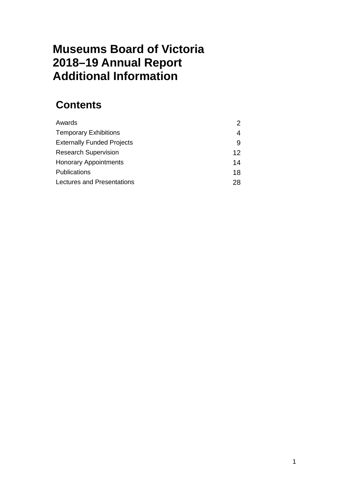# **Museums Board of Victoria 2018–19 Annual Report Additional Information**

# **Contents**

| Awards                            | 2  |
|-----------------------------------|----|
| <b>Temporary Exhibitions</b>      | 4  |
| <b>Externally Funded Projects</b> | 9  |
| <b>Research Supervision</b>       | 12 |
| <b>Honorary Appointments</b>      | 14 |
| <b>Publications</b>               | 18 |
| Lectures and Presentations        | 28 |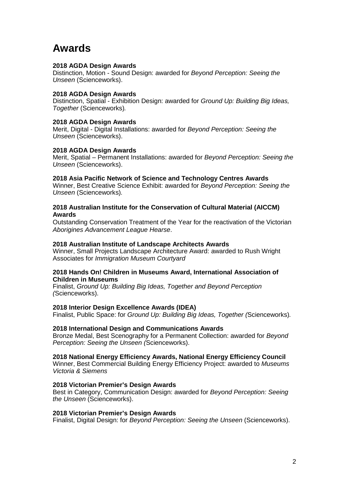# <span id="page-1-0"></span>**Awards**

#### **2018 AGDA Design Awards**

Distinction, Motion - Sound Design: awarded for *Beyond Perception: Seeing the Unseen* (Scienceworks).

#### **2018 AGDA Design Awards**

Distinction, Spatial - Exhibition Design: awarded for *Ground Up: Building Big Ideas, Together* (Scienceworks)*.*

#### **2018 AGDA Design Awards**

Merit, Digital - Digital Installations: awarded for *Beyond Perception: Seeing the Unseen* (Scienceworks).

#### **2018 AGDA Design Awards**

Merit, Spatial – Permanent Installations: awarded for *Beyond Perception: Seeing the Unseen* (Scienceworks).

#### **2018 Asia Pacific Network of Science and Technology Centres Awards**

Winner, Best Creative Science Exhibit: awarded for *Beyond Perception: Seeing the Unseen* (Scienceworks)*.*

#### **2018 Australian Institute for the Conservation of Cultural Material (AICCM) Awards**

Outstanding Conservation Treatment of the Year for the reactivation of the Victorian *Aborigines Advancement League Hearse*.

#### **2018 Australian Institute of Landscape Architects Awards**

Winner, Small Projects Landscape Architecture Award: awarded to Rush Wright Associates for *Immigration Museum Courtyard*

#### **2018 Hands On! Children in Museums Award, International Association of Children in Museums**

Finalist, *Ground Up: Building Big Ideas, Together and Beyond Perception (*Scienceworks).

#### **2018 Interior Design Excellence Awards (IDEA)**

Finalist, Public Space: for *Ground Up: Building Big Ideas, Together (*Scienceworks)*.*

#### **2018 International Design and Communications Awards**

Bronze Medal, Best Scenography for a Permanent Collection: awarded for *Beyond Perception: Seeing the Unseen (*Scienceworks).

#### **2018 National Energy Efficiency Awards, National Energy Efficiency Council**

Winner, Best Commercial Building Energy Efficiency Project: awarded to *Museums Victoria & Siemens*

#### **2018 Victorian Premier's Design Awards**

Best in Category, Communication Design: awarded for *Beyond Perception: Seeing the Unseen* (Scienceworks).

#### **2018 Victorian Premier's Design Awards**

Finalist, Digital Design: for *Beyond Perception: Seeing the Unseen* (Scienceworks).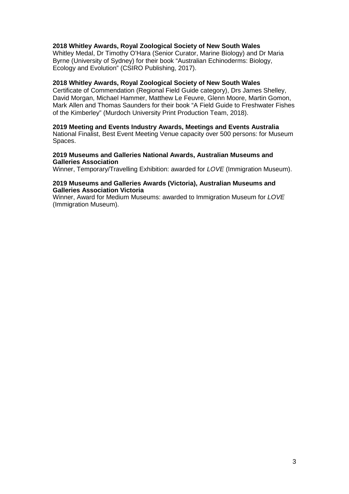#### **2018 Whitley Awards, Royal Zoological Society of New South Wales**

Whitley Medal, Dr Timothy O'Hara (Senior Curator, Marine Biology) and Dr Maria Byrne (University of Sydney) for their book "Australian Echinoderms: Biology, Ecology and Evolution" (CSIRO Publishing, 2017).

#### **2018 Whitley Awards, Royal Zoological Society of New South Wales**

Certificate of Commendation (Regional Field Guide category), Drs James Shelley, David Morgan, Michael Hammer, Matthew Le Feuvre, Glenn Moore, Martin Gomon, Mark Allen and Thomas Saunders for their book "A Field Guide to Freshwater Fishes of the Kimberley" (Murdoch University Print Production Team, 2018).

#### **2019 Meeting and Events Industry Awards, Meetings and Events Australia**

National Finalist, Best Event Meeting Venue capacity over 500 persons: for Museum Spaces.

#### **2019 Museums and Galleries National Awards, Australian Museums and Galleries Association**

Winner, Temporary/Travelling Exhibition: awarded for *LOVE* (Immigration Museum).

#### **2019 Museums and Galleries Awards (Victoria), Australian Museums and Galleries Association Victoria**

Winner, Award for Medium Museums: awarded to Immigration Museum for *LOVE* (Immigration Museum).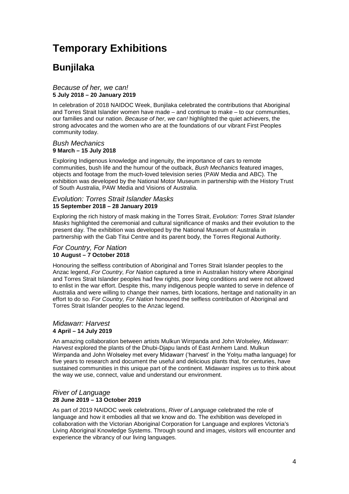# <span id="page-3-0"></span>**Temporary Exhibitions**

## **Bunjilaka**

*Because of her, we can!* **5 July 2018 – 20 January 2019**

In celebration of 2018 NAIDOC Week, Bunjilaka celebrated the contributions that Aboriginal and Torres Strait Islander women have made – and continue to make – to our communities, our families and our nation. *Because of her, we can!* highlighted the quiet achievers, the strong advocates and the women who are at the foundations of our vibrant First Peoples community today.

#### *Bush Mechanics* **9 March – 15 July 2018**

Exploring Indigenous knowledge and ingenuity, the importance of cars to remote communities, bush life and the humour of the outback, *Bush Mechanics* featured images, objects and footage from the much-loved television series (PAW Media and ABC). The exhibition was developed by the National Motor Museum in partnership with the History Trust of South Australia, PAW Media and Visions of Australia.

#### *Evolution: Torres Strait Islander Masks* **15 September 2018 – 28 January 2019**

Exploring the rich history of mask making in the Torres Strait, *Evolution: Torres Strait Islander Masks* highlighted the ceremonial and cultural significance of masks and their evolution to the present day. The exhibition was developed by the National Museum of Australia in partnership with the Gab Titui Centre and its parent body, the Torres Regional Authority.

#### *For Country, For Nation* **10 August – 7 October 2018**

Honouring the selfless contribution of Aboriginal and Torres Strait Islander peoples to the Anzac legend, *For Country, For Nation* captured a time in Australian history where Aboriginal and Torres Strait Islander peoples had few rights, poor living conditions and were not allowed to enlist in the war effort. Despite this, many indigenous people wanted to serve in defence of Australia and were willing to change their names, birth locations, heritage and nationality in an effort to do so. *For Country, For Nation* honoured the selfless contribution of Aboriginal and Torres Strait Islander peoples to the Anzac legend.

#### *Midawarr: Harvest* **4 April – 14 July 2019**

An amazing collaboration between artists Mulkun Wirrpanda and John Wolseley, *Midawarr: Harvest* explored the plants of the Dhubi-Djapu lands of East Arnhem Land. Mulkun Wirrpanda and John Wolseley met every Midawarr ('harvest' in the Yolŋu matha language) for five years to research and document the useful and delicious plants that, for centuries, have sustained communities in this unique part of the continent. Midawarr inspires us to think about the way we use, connect, value and understand our environment.

#### *River of Language* **28 June 2019 – 13 October 2019**

As part of 2019 NAIDOC week celebrations, *River of Language* celebrated the role of language and how it embodies all that we know and do. The exhibition was developed in collaboration with the Victorian Aboriginal Corporation for Language and explores Victoria's Living Aboriginal Knowledge Systems. Through sound and images, visitors will encounter and experience the vibrancy of our living languages.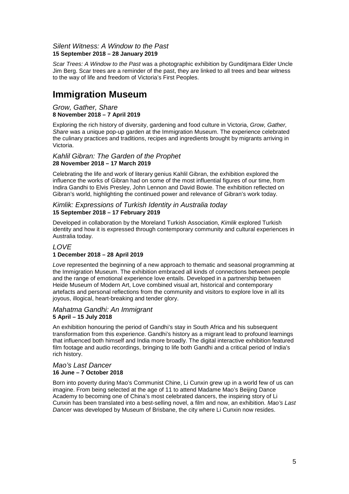#### *Silent Witness: A Window to the Past* **15 September 2018 – 28 January 2019**

*Scar Trees: A Window to the Past* was a photographic exhibition by Gunditjmara Elder Uncle Jim Berg. Scar trees are a reminder of the past, they are linked to all trees and bear witness to the way of life and freedom of Victoria's First Peoples.

## **Immigration Museum**

#### *Grow, Gather, Share* **8 November 2018 – 7 April 2019**

Exploring the rich history of diversity, gardening and food culture in Victoria, *Grow, Gather, Share* was a unique pop-up garden at the Immigration Museum. The experience celebrated the culinary practices and traditions, recipes and ingredients brought by migrants arriving in Victoria.

#### *Kahlil Gibran: The Garden of the Prophet* **28 November 2018 – 17 March 2019**

Celebrating the life and work of literary genius Kahlil Gibran, the exhibition explored the influence the works of Gibran had on some of the most influential figures of our time, from Indira Gandhi to Elvis Presley, John Lennon and David Bowie. The exhibition reflected on Gibran's world, highlighting the continued power and relevance of Gibran's work today.

#### *Kimlik: Expressions of Turkish Identity in Australia today* **15 September 2018 – 17 February 2019**

Developed in collaboration by the Moreland Turkish Association, *Kimlik* explored Turkish identity and how it is expressed through contemporary community and cultural experiences in Australia today.

#### *LOVE*

#### **1 December 2018 – 28 April 2019**

*Love* represented the beginning of a new approach to thematic and seasonal programming at the Immigration Museum. The exhibition embraced all kinds of connections between people and the range of emotional experience love entails. Developed in a partnership between Heide Museum of Modern Art, Love combined visual art, historical and contemporary artefacts and personal reflections from the community and visitors to explore love in all its joyous, illogical, heart-breaking and tender glory.

#### *Mahatma Gandhi: An Immigrant* **5 April – 15 July 2018**

An exhibition honouring the period of Gandhi's stay in South Africa and his subsequent transformation from this experience. Gandhi's history as a migrant lead to profound learnings that influenced both himself and India more broadly. The digital interactive exhibition featured film footage and audio recordings, bringing to life both Gandhi and a critical period of India's rich history.

#### *Mao's Last Dancer* **16 June – 7 October 2018**

Born into poverty during Mao's Communist Chine, Li Cunxin grew up in a world few of us can imagine. From being selected at the age of 11 to attend Madame Mao's Beijing Dance Academy to becoming one of China's most celebrated dancers, the inspiring story of Li Cunxin has been translated into a best-selling novel, a film and now, an exhibition. *Mao's Last Dancer* was developed by Museum of Brisbane, the city where Li Cunxin now resides.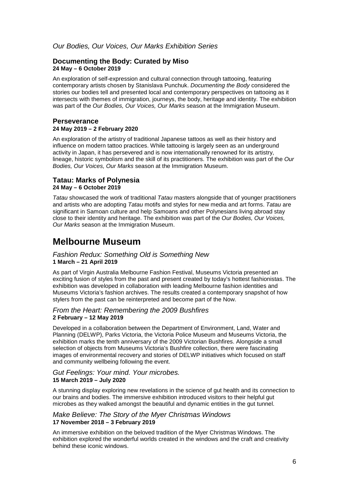#### *Our Bodies, Our Voices, Our Marks Exhibition Series*

#### **Documenting the Body: Curated by Miso 24 May – 6 October 2019**

An exploration of self-expression and cultural connection through tattooing, featuring contemporary artists chosen by Stanislava Punchuk. *Documenting the Body* considered the stories our bodies tell and presented local and contemporary perspectives on tattooing as it intersects with themes of immigration, journeys, the body, heritage and identity. The exhibition was part of the *Our Bodies, Our Voices, Our Marks* season at the Immigration Museum.

#### **Perseverance 24 May 2019 – 2 February 2020**

An exploration of the artistry of traditional Japanese tattoos as well as their history and influence on modern tattoo practices. While tattooing is largely seen as an underground activity in Japan, it has persevered and is now internationally renowned for its artistry, lineage, historic symbolism and the skill of its practitioners. The exhibition was part of the *Our Bodies, Our Voices, Our Marks* season at the Immigration Museum.

#### **Tatau: Marks of Polynesia 24 May – 6 October 2019**

*Tatau* showcased the work of traditional *Tatau* masters alongside that of younger practitioners and artists who are adopting *Tatau* motifs and styles for new media and art forms. *Tatau* are significant in Samoan culture and help Samoans and other Polynesians living abroad stay close to their identity and heritage. The exhibition was part of the *Our Bodies, Our Voices, Our Marks* season at the Immigration Museum.

## **Melbourne Museum**

#### *Fashion Redux: Something Old is Something New* **1 March – 21 April 2019**

As part of Virgin Australia Melbourne Fashion Festival, Museums Victoria presented an exciting fusion of styles from the past and present created by today's hottest fashionistas. The exhibition was developed in collaboration with leading Melbourne fashion identities and Museums Victoria's fashion archives. The results created a contemporary snapshot of how stylers from the past can be reinterpreted and become part of the Now.

#### *From the Heart: Remembering the 2009 Bushfires* **2 February – 12 May 2019**

Developed in a collaboration between the Department of Environment, Land, Water and Planning (DELWP), Parks Victoria, the Victoria Police Museum and Museums Victoria, the exhibition marks the tenth anniversary of the 2009 Victorian Bushfires. Alongside a small selection of objects from Museums Victoria's Bushfire collection, there were fascinating images of environmental recovery and stories of DELWP initiatives which focused on staff and community wellbeing following the event.

#### *Gut Feelings: Your mind. Your microbes.*  **15 March 2019 – July 2020**

A stunning display exploring new revelations in the science of gut health and its connection to our brains and bodies. The immersive exhibition introduced visitors to their helpful gut microbes as they walked amongst the beautiful and dynamic entities in the gut tunnel.

#### *Make Believe: The Story of the Myer Christmas Windows* **17 November 2018 – 3 February 2019**

An immersive exhibition on the beloved tradition of the Myer Christmas Windows. The exhibition explored the wonderful worlds created in the windows and the craft and creativity behind these iconic windows.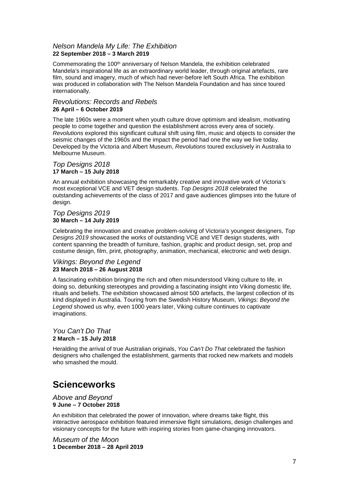#### *Nelson Mandela My Life: The Exhibition* **22 September 2018 – 3 March 2019**

Commemorating the 100th anniversary of Nelson Mandela, the exhibition celebrated Mandela's inspirational life as an extraordinary world leader, through original artefacts, rare film, sound and imagery, much of which had never-before left South Africa. The exhibition was produced in collaboration with The Nelson Mandela Foundation and has since toured internationally.

#### *Revolutions: Records and Rebels* **26 April – 6 October 2019**

The late 1960s were a moment when youth culture drove optimism and idealism, motivating people to come together and question the establishment across every area of society. *Revolutions* explored this significant cultural shift using film, music and objects to consider the seismic changes of the 1960s and the impact the period had one the way we live today. Developed by the Victoria and Albert Museum, *Revolutions* toured exclusively in Australia to Melbourne Museum.

#### *Top Designs 2018* **17 March – 15 July 2018**

An annual exhibition showcasing the remarkably creative and innovative work of Victoria's most exceptional VCE and VET design students. *Top Designs 2018* celebrated the outstanding achievements of the class of 2017 and gave audiences glimpses into the future of design.

#### *Top Designs 2019* **30 March – 14 July 2019**

Celebrating the innovation and creative problem-solving of Victoria's youngest designers, *Top Designs 2019* showcased the works of outstanding VCE and VET design students, with content spanning the breadth of furniture, fashion, graphic and product design, set, prop and costume design, film, print, photography, animation, mechanical, electronic and web design.

#### *Vikings: Beyond the Legend* **23 March 2018 – 26 August 2018**

A fascinating exhibition bringing the rich and often misunderstood Viking culture to life, in doing so, debunking stereotypes and providing a fascinating insight into Viking domestic life, rituals and beliefs. The exhibition showcased almost 500 artefacts, the largest collection of its kind displayed in Australia. Touring from the Swedish History Museum, *Vikings: Beyond the Legend* showed us why, even 1000 years later, Viking culture continues to captivate imaginations.

#### *You Can't Do That* **2 March – 15 July 2018**

Heralding the arrival of true Australian originals, *You Can't Do That* celebrated the fashion designers who challenged the establishment, garments that rocked new markets and models who smashed the mould.

## **Scienceworks**

*Above and Beyond* **9 June – 7 October 2018**

An exhibition that celebrated the power of innovation, where dreams take flight, this interactive aerospace exhibition featured immersive flight simulations, design challenges and visionary concepts for the future with inspiring stories from game-changing innovators.

*Museum of the Moon* **1 December 2018 – 28 April 2019**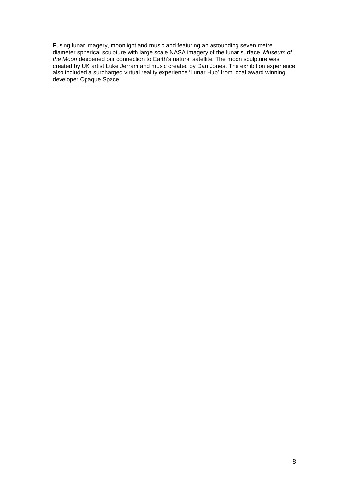Fusing lunar imagery, moonlight and music and featuring an astounding seven metre diameter spherical sculpture with large scale NASA imagery of the lunar surface, *Museum of the Moon* deepened our connection to Earth's natural satellite. The moon sculpture was created by UK artist Luke Jerram and music created by Dan Jones. The exhibition experience also included a surcharged virtual reality experience 'Lunar Hub' from local award winning developer Opaque Space.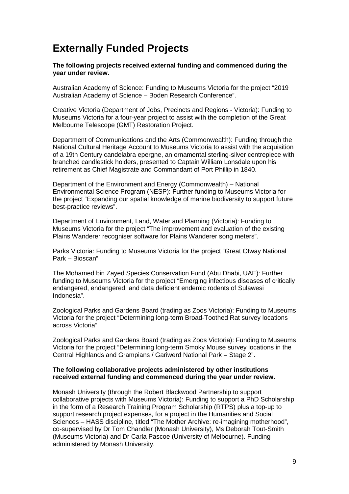# <span id="page-8-0"></span>**Externally Funded Projects**

**The following projects received external funding and commenced during the year under review.**

Australian Academy of Science: Funding to Museums Victoria for the project "2019 Australian Academy of Science – Boden Research Conference".

Creative Victoria (Department of Jobs, Precincts and Regions - Victoria): Funding to Museums Victoria for a four-year project to assist with the completion of the Great Melbourne Telescope (GMT) Restoration Project.

Department of Communications and the Arts (Commonwealth): Funding through the National Cultural Heritage Account to Museums Victoria to assist with the acquisition of a 19th Century candelabra epergne, an ornamental sterling-silver centrepiece with branched candlestick holders, presented to Captain William Lonsdale upon his retirement as Chief Magistrate and Commandant of Port Phillip in 1840.

Department of the Environment and Energy (Commonwealth) – National Environmental Science Program (NESP): Further funding to Museums Victoria for the project "Expanding our spatial knowledge of marine biodiversity to support future best-practice reviews".

Department of Environment, Land, Water and Planning (Victoria): Funding to Museums Victoria for the project "The improvement and evaluation of the existing Plains Wanderer recogniser software for Plains Wanderer song meters".

Parks Victoria: Funding to Museums Victoria for the project "Great Otway National Park – Bioscan"

The Mohamed bin Zayed Species Conservation Fund (Abu Dhabi, UAE): Further funding to Museums Victoria for the project "Emerging infectious diseases of critically endangered, endangered, and data deficient endemic rodents of Sulawesi Indonesia".

Zoological Parks and Gardens Board (trading as Zoos Victoria): Funding to Museums Victoria for the project "Determining long-term Broad-Toothed Rat survey locations across Victoria".

Zoological Parks and Gardens Board (trading as Zoos Victoria): Funding to Museums Victoria for the project "Determining long-term Smoky Mouse survey locations in the Central Highlands and Grampians / Gariwerd National Park – Stage 2".

#### **The following collaborative projects administered by other institutions received external funding and commenced during the year under review.**

Monash University (through the Robert Blackwood Partnership to support collaborative projects with Museums Victoria): Funding to support a PhD Scholarship in the form of a Research Training Program Scholarship (RTPS) plus a top-up to support research project expenses, for a project in the Humanities and Social Sciences – HASS discipline, titled "The Mother Archive: re-imagining motherhood", co-supervised by Dr Tom Chandler (Monash University), Ms Deborah Tout-Smith (Museums Victoria) and Dr Carla Pascoe (University of Melbourne). Funding administered by Monash University.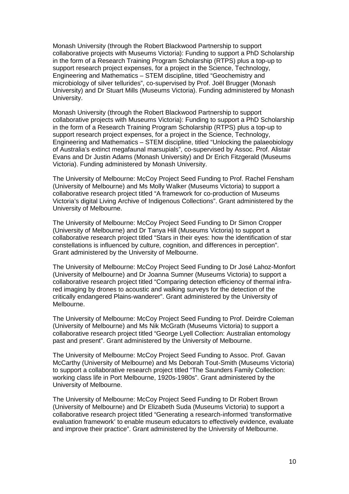Monash University (through the Robert Blackwood Partnership to support collaborative projects with Museums Victoria): Funding to support a PhD Scholarship in the form of a Research Training Program Scholarship (RTPS) plus a top-up to support research project expenses, for a project in the Science, Technology, Engineering and Mathematics – STEM discipline, titled "Geochemistry and microbiology of silver tellurides", co-supervised by Prof. Joël Brugger (Monash University) and Dr Stuart Mills (Museums Victoria). Funding administered by Monash University.

Monash University (through the Robert Blackwood Partnership to support collaborative projects with Museums Victoria): Funding to support a PhD Scholarship in the form of a Research Training Program Scholarship (RTPS) plus a top-up to support research project expenses, for a project in the Science, Technology, Engineering and Mathematics – STEM discipline, titled "Unlocking the palaeobiology of Australia's extinct megafaunal marsupials", co-supervised by Assoc. Prof. Alistair Evans and Dr Justin Adams (Monash University) and Dr Erich Fitzgerald (Museums Victoria). Funding administered by Monash University.

The University of Melbourne: McCoy Project Seed Funding to Prof. Rachel Fensham (University of Melbourne) and Ms Molly Walker (Museums Victoria) to support a collaborative research project titled "A framework for co-production of Museums Victoria's digital Living Archive of Indigenous Collections". Grant administered by the University of Melbourne.

The University of Melbourne: McCoy Project Seed Funding to Dr Simon Cropper (University of Melbourne) and Dr Tanya Hill (Museums Victoria) to support a collaborative research project titled "Stars in their eyes: how the identification of star constellations is influenced by culture, cognition, and differences in perception". Grant administered by the University of Melbourne.

The University of Melbourne: McCoy Project Seed Funding to Dr José Lahoz-Monfort (University of Melbourne) and Dr Joanna Sumner (Museums Victoria) to support a collaborative research project titled "Comparing detection efficiency of thermal infrared imaging by drones to acoustic and walking surveys for the detection of the critically endangered Plains-wanderer". Grant administered by the University of Melbourne.

The University of Melbourne: McCoy Project Seed Funding to Prof. Deirdre Coleman (University of Melbourne) and Ms Nik McGrath (Museums Victoria) to support a collaborative research project titled "George Lyell Collection: Australian entomology past and present". Grant administered by the University of Melbourne.

The University of Melbourne: McCoy Project Seed Funding to Assoc. Prof. Gavan McCarthy (University of Melbourne) and Ms Deborah Tout-Smith (Museums Victoria) to support a collaborative research project titled "The Saunders Family Collection: working class life in Port Melbourne, 1920s-1980s". Grant administered by the University of Melbourne.

The University of Melbourne: McCoy Project Seed Funding to Dr Robert Brown (University of Melbourne) and Dr Elizabeth Suda (Museums Victoria) to support a collaborative research project titled "Generating a research-informed 'transformative evaluation framework' to enable museum educators to effectively evidence, evaluate and improve their practice". Grant administered by the University of Melbourne.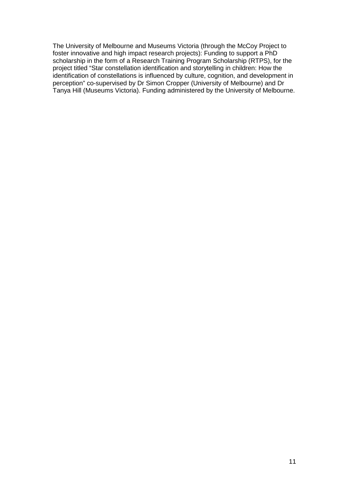The University of Melbourne and Museums Victoria (through the McCoy Project to foster innovative and high impact research projects): Funding to support a PhD scholarship in the form of a Research Training Program Scholarship (RTPS), for the project titled "Star constellation identification and storytelling in children: How the identification of constellations is influenced by culture, cognition, and development in perception" co-supervised by Dr Simon Cropper (University of Melbourne) and Dr Tanya Hill (Museums Victoria). Funding administered by the University of Melbourne.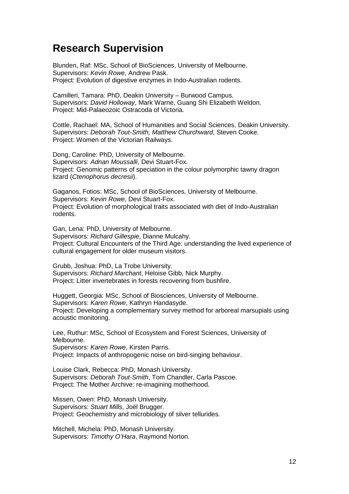## <span id="page-11-0"></span>**Research Supervision**

Blunden, Raf: MSc, School of BioSciences, University of Melbourne. Supervisors: *Kevin Rowe*, Andrew Pask. Project: Evolution of digestive enzymes in Indo-Australian rodents.

Camilleri, Tamara: PhD, Deakin University – Burwood Campus. Supervisors: *David Holloway*, Mark Warne, Guang Shi Elizabeth Weldon. Project: Mid-Palaeozoic Ostracoda of Victoria.

Cottle, Rachael: MA, School of Humanities and Social Sciences, Deakin University. Supervisors: *Deborah Tout-Smith, Matthew Churchward*, Steven Cooke. Project: Women of the Victorian Railways.

Dong, Caroline: PhD, University of Melbourne. Supervisors: *Adnan Moussalli*, Devi Stuart-Fox. Project: Genomic patterns of speciation in the colour polymorphic tawny dragon lizard (*Ctenophorus decresii*).

Gaganos, Fotios: MSc, School of BioSciences, University of Melbourne. Supervisors: *Kevin Rowe*, Devi Stuart-Fox. Project: Evolution of morphological traits associated with diet of Indo-Australian rodents.

Gan, Lena: PhD, University of Melbourne. Supervisors: *Richard Gillespie*, Dianne Mulcahy. Project: Cultural Encounters of the Third Age: understanding the lived experience of cultural engagement for older museum visitors.

Grubb, Joshua: PhD, La Trobe University. Supervisors: *Richard Marchant*, Heloise Gibb, Nick Murphy. Project: Litter invertebrates in forests recovering from bushfire.

Huggett, Georgia: MSc, School of Biosciences, University of Melbourne. Supervisors: *Karen Rowe*, Kathryn Handasyde. Project: Developing a complementary survey method for arboreal marsupials using acoustic monitoring.

Lee, Ruthur: MSc, School of Ecosystem and Forest Sciences, University of Melbourne. Supervisors: *Karen Rowe*, Kirsten Parris. Project: Impacts of anthropogenic noise on bird-singing behaviour.

Louise Clark, Rebecca: PhD, Monash University. Supervisors: *Deborah Tout-Smith*, Tom Chandler, Carla Pascoe. Project: The Mother Archive: re-imagining motherhood.

Missen, Owen: PhD, Monash University. Supervisors: *Stuart Mills*, Joël Brugger. Project: Geochemistry and microbiology of silver tellurides.

Mitchell, Michela: PhD, Monash University. Supervisors: *Timothy O'Hara*, Raymond Norton.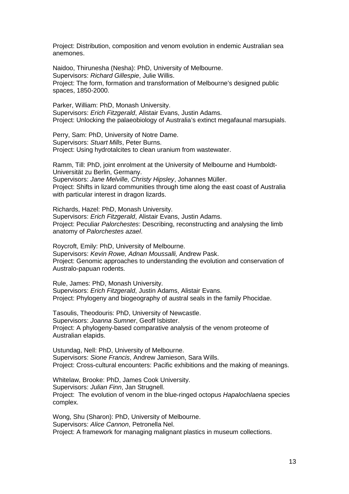Project: Distribution, composition and venom evolution in endemic Australian sea anemones.

Naidoo, Thirunesha (Nesha): PhD, University of Melbourne. Supervisors: *Richard Gillespie*, Julie Willis. Project: The form, formation and transformation of Melbourne's designed public spaces, 1850-2000.

Parker, William: PhD, Monash University. Supervisors: *Erich Fitzgerald*, Alistair Evans, Justin Adams. Project: Unlocking the palaeobiology of Australia's extinct megafaunal marsupials.

Perry, Sam: PhD, University of Notre Dame. Supervisors: *Stuart Mills*, Peter Burns. Project: Using hydrotalcites to clean uranium from wastewater.

Ramm, Till: PhD, joint enrolment at the University of Melbourne and Humboldt-Universität zu Berlin, Germany. Supervisors: *Jane Melville, Christy Hipsley*, Johannes Müller. Project: Shifts in lizard communities through time along the east coast of Australia with particular interest in dragon lizards.

Richards, Hazel: PhD, Monash University. Supervisors: *Erich Fitzgerald*, Alistair Evans, Justin Adams. Project: Peculiar *Palorchestes*: Describing, reconstructing and analysing the limb anatomy of *Palorchestes azael*.

Roycroft, Emily: PhD, University of Melbourne. Supervisors: *Kevin Rowe, Adnan Moussalli,* Andrew Pask. Project: Genomic approaches to understanding the evolution and conservation of Australo-papuan rodents.

Rule, James: PhD, Monash University. Supervisors: *Erich Fitzgerald*, Justin Adams, Alistair Evans. Project: Phylogeny and biogeography of austral seals in the family Phocidae.

Tasoulis, Theodouris: PhD, University of Newcastle. Supervisors: *Joanna Sumner*, Geoff Isbister. Project: A phylogeny-based comparative analysis of the venom proteome of Australian elapids.

Ustundag, Nell: PhD, University of Melbourne. Supervisors: *Sione Francis*, Andrew Jamieson, Sara Wills. Project: Cross-cultural encounters: Pacific exhibitions and the making of meanings.

Whitelaw, Brooke: PhD, James Cook University. Supervisors: *Julian Finn*, Jan Strugnell. Project: The evolution of venom in the blue-ringed octopus *Hapalochlaena* species complex.

Wong, Shu (Sharon): PhD, University of Melbourne. Supervisors: *Alice Cannon*, Petronella Nel. Project: A framework for managing malignant plastics in museum collections.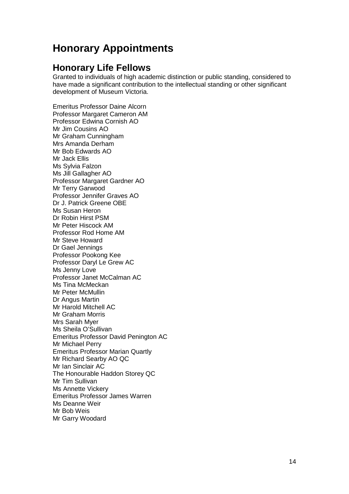# <span id="page-13-0"></span>**Honorary Appointments**

## **Honorary Life Fellows**

Granted to individuals of high academic distinction or public standing, considered to have made a significant contribution to the intellectual standing or other significant development of Museum Victoria.

Emeritus Professor Daine Alcorn Professor Margaret Cameron AM Professor Edwina Cornish AO Mr Jim Cousins AO Mr Graham Cunningham Mrs Amanda Derham Mr Bob Edwards AO Mr Jack Ellis Ms Sylvia Falzon Ms Jill Gallagher AO Professor Margaret Gardner AO Mr Terry Garwood Professor Jennifer Graves AO Dr J. Patrick Greene OBE Ms Susan Heron Dr Robin Hirst PSM Mr Peter Hiscock AM Professor Rod Home AM Mr Steve Howard Dr Gael Jennings Professor Pookong Kee Professor Daryl Le Grew AC Ms Jenny Love Professor Janet McCalman AC Ms Tina McMeckan Mr Peter McMullin Dr Angus Martin Mr Harold Mitchell AC Mr Graham Morris Mrs Sarah Myer Ms Sheila O'Sullivan Emeritus Professor David Penington AC Mr Michael Perry Emeritus Professor Marian Quartly Mr Richard Searby AO QC Mr Ian Sinclair AC The Honourable Haddon Storey QC Mr Tim Sullivan Ms Annette Vickery Emeritus Professor James Warren Ms Deanne Weir Mr Bob Weis Mr Garry Woodard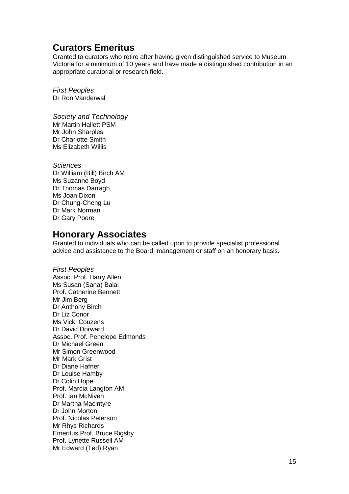## **Curators Emeritus**

Granted to curators who retire after having given distinguished service to Museum Victoria for a minimum of 10 years and have made a distinguished contribution in an appropriate curatorial or research field.

*First Peoples* Dr Ron Vanderwal

*Society and Technology* Mr Martin Hallett PSM Mr John Sharples Dr Charlotte Smith Ms Elizabeth Willis

*Sciences* Dr William (Bill) Birch AM Ms Suzanne Boyd Dr Thomas Darragh Ms Joan Dixon Dr Chung-Cheng Lu Dr Mark Norman Dr Gary Poore

### **Honorary Associates**

Granted to individuals who can be called upon to provide specialist professional advice and assistance to the Board, management or staff on an honorary basis.

*First Peoples* Assoc. Prof. Harry Allen Ms Susan (Sana) Balai Prof. Catherine Bennett Mr Jim Berg Dr Anthony Birch Dr Liz Conor Ms Vicki Couzens Dr David Dorward Assoc. Prof. Penelope Edmonds Dr Michael Green Mr Simon Greenwood Mr Mark Grist Dr Diane Hafner Dr Louise Hamby Dr Colin Hope Prof. Marcia Langton AM Prof. Ian McNiven Dr Martha Macintyre Dr John Morton Prof. Nicolas Peterson Mr Rhys Richards Emeritus Prof. Bruce Rigsby Prof. Lynette Russell AM Mr Edward (Ted) Ryan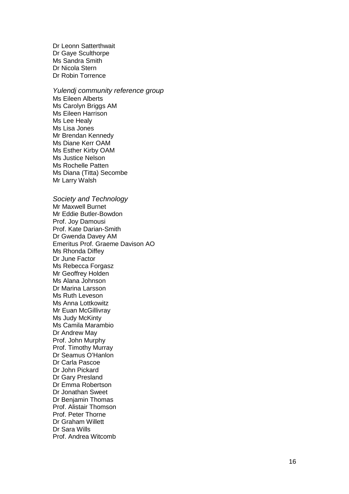Dr Leonn Satterthwait Dr Gaye Sculthorpe Ms Sandra Smith Dr Nicola Stern Dr Robin Torrence

*Yulendj community reference group* Ms Eileen Alberts Ms Carolyn Briggs AM Ms Eileen Harrison Ms Lee Healy Ms Lisa Jones Mr Brendan Kennedy Ms Diane Kerr OAM Ms Esther Kirby OAM Ms Justice Nelson Ms Rochelle Patten Ms Diana (Titta) Secombe Mr Larry Walsh

*Society and Technology* Mr Maxwell Burnet Mr Eddie Butler -Bowdon Prof. Joy Damousi Prof. Kate Darian -Smith Dr Gwenda Davey AM Emeritus Prof. Graeme Davison AO Ms Rhonda Diffey Dr June Factor Ms Rebecca Forgasz Mr Geoffrey Holden Ms Alana Johnson Dr Marina Larsson Ms Ruth Leveson Ms Anna Lottkowitz Mr Euan McGillivray Ms Judy McKinty Ms Camila Marambio Dr Andrew May Prof. John Murphy Prof. Timothy Murray Dr Seamus O'Hanlon Dr Carla Pascoe Dr John Pickard Dr Gary Presland Dr Emma Robertson Dr Jonathan Sweet Dr Benjamin Thomas Prof. Alistair Thomson Prof. Peter Thorne Dr Graham Willett Dr Sara Wills Prof. Andrea Witcomb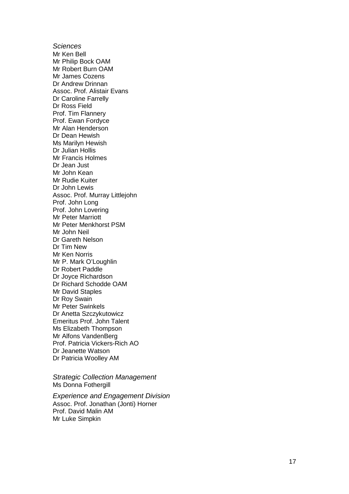*Sciences* Mr Ken Bell Mr Philip Bock OAM Mr Robert Burn OAM Mr James Cozens Dr Andrew Drinnan Assoc. Prof. Alistair Evans Dr Caroline Farrelly Dr Ross Field Prof. Tim Flannery Prof. Ewan Fordyce Mr Alan Henderson Dr Dean Hewish Ms Marilyn Hewish Dr Julian Hollis Mr Francis Holmes Dr Jean Just Mr John Kean Mr Rudie Kuiter Dr John Lewis Assoc. Prof. Murray Littlejohn Prof. John Long Prof. John Lovering Mr Peter Marriott Mr Peter Menkhorst PSM Mr John Neil Dr Gareth Nelson Dr Tim New Mr Ken Norris Mr P. Mark O'Loughlin Dr Robert Paddle Dr Joyce Richardson Dr Richard Schodde OAM Mr David Staples Dr Roy Swain Mr Peter Swinkels Dr Anetta Szczykutowicz Emeritus Prof. John Talent Ms Elizabeth Thompson Mr Alfons VandenBerg Prof. Patricia Vickers -Rich AO Dr Jeanette Watson Dr Patricia Woolley AM

*Strategic Collection Management* Ms Donna Fothergill

*Experience and Engagement Division* Assoc. Prof. Jonathan (Jonti) Horner Prof. David Malin AM Mr Luke Simpkin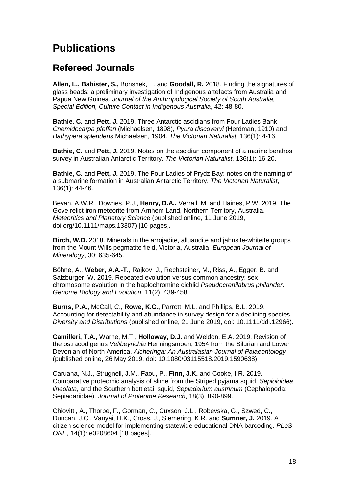# <span id="page-17-0"></span>**Publications**

## **Refereed Journals**

**Allen, L., Babister, S.,** Bonshek, E. and **Goodall, R.** 2018. Finding the signatures of glass beads: a preliminary investigation of Indigenous artefacts from Australia and Papua New Guinea. *Journal of the Anthropological Society of South Australia, Special Edition, Culture Contact in Indigenous Australia*, 42: 48-80.

**Bathie, C.** and **Pett, J.** 2019. Three Antarctic ascidians from Four Ladies Bank: *Cnemidocarpa pfefferi* (Michaelsen, 1898), *Pyura discoveryi* (Herdman, 1910) and *Bathypera splendens* Michaelsen, 1904. *The Victorian Naturalist*, 136(1): 4-16.

**Bathie, C.** and **Pett, J.** 2019. Notes on the ascidian component of a marine benthos survey in Australian Antarctic Territory. *The Victorian Naturalist*, 136(1): 16-20.

**Bathie, C.** and **Pett, J.** 2019. The Four Ladies of Prydz Bay: notes on the naming of a submarine formation in Australian Antarctic Territory. *The Victorian Naturalist*, 136(1): 44-46.

Bevan, A.W.R., Downes, P.J., **Henry, D.A.,** Verrall, M. and Haines, P.W. 2019. The Gove relict iron meteorite from Arnhem Land, Northern Territory, Australia. *Meteoritics and Planetary Scienc*e (published online, 11 June 2019, doi.org/10.1111/maps.13307) [10 pages].

**Birch, W.D.** 2018. Minerals in the arrojadite, alluaudite and jahnsite-whiteite groups from the Mount Wills pegmatite field, Victoria, Australia. *European Journal of Mineralogy*, 30: 635-645.

Böhne, A., **Weber, A.A.-T.,** Rajkov, J., Rechsteiner, M., Riss, A., Egger, B. and Salzburger, W. 2019. Repeated evolution versus common ancestry: sex chromosome evolution in the haplochromine cichlid *Pseudocrenilabrus philander*. *Genome Biology and Evolution*, 11(2): 439-458.

**Burns, P.A.,** McCall, C., **Rowe, K.C.,** Parrott, M.L. and Phillips, B.L. 2019. Accounting for detectability and abundance in survey design for a declining species. *Diversity and Distributions* (published online, 21 June 2019, doi: 10.1111/ddi.12966).

**Camilleri, T.A.,** Warne, M.T., **Holloway, D.J.** and Weldon, E.A. 2019. Revision of the ostracod genus *Velibeyrichia* Henningsmoen, 1954 from the Silurian and Lower Devonian of North America. *Alcheringa: An Australasian Journal of Palaeontology* (published online, 26 May 2019, doi: 10.1080/03115518.2019.1590638).

Caruana, N.J., Strugnell, J.M., Faou, P., **Finn, J.K.** and Cooke, I.R. 2019. Comparative proteomic analysis of slime from the Striped pyjama squid, *Sepioloidea lineolata*, and the Southern bottletail squid, *Sepiadarium austrinum* (Cephalopoda: Sepiadariidae). *Journal of Proteome Research*, 18(3): 890-899.

Chiovitti, A., Thorpe, F., Gorman, C., Cuxson, J.L., Robevska, G., Szwed, C., Duncan, J.C., Vanyai, H.K., Cross, J., Siemering, K.R. and **Sumner, J.** 2019. A citizen science model for implementing statewide educational DNA barcoding. *PLoS ONE,* 14(1): e0208604 [18 pages].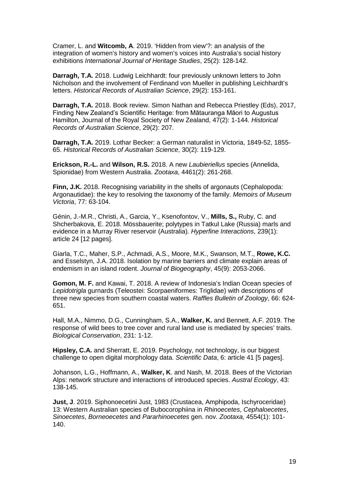Cramer, L. and **Witcomb, A**. 2019. 'Hidden from view'?: an analysis of the integration of women's history and women's voices into Australia's social history exhibitions *International Journal of Heritage Studies*, 25(2): 128-142.

**Darragh, T.A.** 2018. Ludwig Leichhardt: four previously unknown letters to John Nicholson and the involvement of Ferdinand von Mueller in publishing Leichhardt's letters. *Historical Records of Australian Science*, 29(2): 153-161.

**Darragh, T.A.** 2018. Book review. Simon Nathan and Rebecca Priestley (Eds), 2017, Finding New Zealand's Scientific Heritage: from Mātauranga Māori to Augustus Hamilton, Journal of the Royal Society of New Zealand, 47(2): 1-144. *Historical Records of Australian Science*, 29(2): 207.

**Darragh, T.A.** 2019. Lothar Becker: a German naturalist in Victoria, 1849-52, 1855- 65. *Historical Records of Australian Science*, 30(2): 119-129.

**Erickson, R.-L.** and **Wilson, R.S.** 2018. A new *Laubieriellus* species (Annelida, Spionidae) from Western Australia. *Zootaxa*, 4461(2): 261-268.

**Finn, J.K.** 2018. Recognising variability in the shells of argonauts (Cephalopoda: Argonautidae): the key to resolving the taxonomy of the family. *Memoirs of Museum Victoria*, 77: 63-104.

Génin, J.-M.R., Christi, A., Garcia, Y., Ksenofontov, V., **Mills, S.,** Ruby, C. and Shcherbakova, E. 2018. Mössbauerite; polytypes in Tatkul Lake (Russia) marls and evidence in a Murray River reservoir (Australia). *Hyperfine Interactions*, 239(1): article 24 [12 pages].

Giarla, T.C., Maher, S.P., Achmadi, A.S., Moore, M.K., Swanson, M.T., **Rowe, K.C.**  and Esselstyn, J.A. 2018. Isolation by marine barriers and climate explain areas of endemism in an island rodent. *Journal of Biogeography*, 45(9): 2053-2066.

**Gomon, M. F.** and Kawai, T. 2018. A review of Indonesia's Indian Ocean species of *Lepidotrigla* gurnards (Teleostei: Scorpaeniformes: Triglidae) with descriptions of three new species from southern coastal waters. *Raffles Bulletin of Zoology*, 66: 624- 651.

Hall, M.A., Nimmo, D.G., Cunningham, S.A., **Walker, K.** and Bennett, A.F. 2019. The response of wild bees to tree cover and rural land use is mediated by species' traits. *Biological Conservation*, 231: 1-12.

**Hipsley, C.A.** and Sherratt, E. 2019. Psychology, not technology, is our biggest challenge to open digital morphology data. *Scientific Data*, 6: article 41 [5 pages].

Johanson, L.G., Hoffmann, A., **Walker, K**. and Nash, M. 2018. Bees of the Victorian Alps: network structure and interactions of introduced species. *Austral Ecology*, 43: 138-145.

**Just, J**. 2019. Siphonoecetini Just, 1983 (Crustacea, Amphipoda, Ischyroceridae) 13: Western Australian species of Bubocorophiina in *Rhinoecetes*, *Cephaloecetes*, *Sinoecetes*, *Borneoecetes* and *Pararhinoecetes* gen. nov. *Zootaxa,* 4554(1): 101- 140.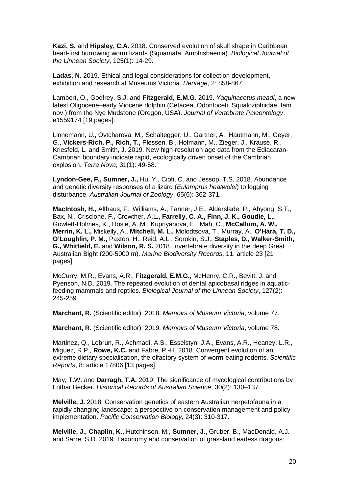**Kazi, S.** and **Hipsley, C.A.** 2018. Conserved evolution of skull shape in Caribbean head-first burrowing worm lizards (Squamata: Amphisbaenia). *Biological Journal of the Linnean Society*, 125(1): 14-29.

**Ladas, N.** 2019. Ethical and legal considerations for collection development, exhibition and research at Museums Victoria. *Heritage*, 2: 858-867.

Lambert, O., Godfrey, S.J. and **Fitzgerald, E.M.G.** 2019. *Yaquinacetus meadi*, a new latest Oligocene–early Miocene dolphin (Cetacea, Odontoceti, Squaloziphiidae, fam. nov.) from the Nye Mudstone (Oregon, USA). *Journal of Vertebrate Paleontology*, e1559174 [19 pages].

Linnemann, U., Ovtcharova, M., Schaltegger, U., Gartner, A., Hautmann, M., Geyer, G., **Vickers-Rich, P., Rich, T.,** Plessen, B., Hofmann, M., Zieger, J., Krause, R., Kriesfeld, L. and Smith, J. 2019. New high-resolution age data from the Ediacaran-Cambrian boundary indicate rapid, ecologically driven onset of the Cambrian explosion. *Terra Nova*, 31(1): 49-58.

**Lyndon-Gee, F., Sumner, J.,** Hu, Y., Ciofi, C. and Jessop, T.S. 2018. Abundance and genetic diversity responses of a lizard (*Eulamprus heatwolei*) to logging disturbance. *Australian Journal of Zoology*, 65(6): 362-371.

**MacIntosh, H.,** Althaus, F., Williams, A., Tanner, J.E., Alderslade, P., Ahyong, S.T., Bax, N., Criscione, F., Crowther, A.L., **Farrelly, C. A., Finn, J. K., Goudie, L.,** Gowlett-Holmes, K., Hosie, A. M., Kupriyanova, E., Mah, C., **McCallum, A. W., Merrin, K. L.,** Miskelly, A., **Mitchell, M. L.,** Molodtsova, T., Murray, A., **O'Hara, T. D., O'Loughlin, P. M.,** Paxton, H., Reid, A.L., Sorokin, S.J., **Staples, D., Walker-Smith, G., Whitfield, E.** and **Wilson, R. S.** 2018. Invertebrate diversity in the deep Great Australian Bight (200-5000 m). *Marine Biodiversity Records*, 11: article 23 [21 pages].

McCurry, M.R., Evans, A.R., **Fitzgerald, E.M.G.,** McHenry, C.R., Bevitt, J. and Pyenson, N.D. 2019. The repeated evolution of dental apicobasal ridges in aquaticfeeding mammals and reptiles. *Biological Journal of the Linnean Society*, 127(2): 245-259.

**Marchant, R.** (Scientific editor). 2018. *Memoirs of Museum Victoria*, volume 77.

**Marchant, R.** (Scientific editor). 2019. *Memoirs of Museum Victoria*, volume 78.

Martinez, Q., Lebrun, R., Achmadi, A.S., Esselstyn, J.A., Evans, A.R., Heaney, L.R., Miguez, R.P., **Rowe, K.C.** and Fabre, P.-H. 2018. Convergent evolution of an extreme dietary specialisation, the olfactory system of worm-eating rodents. *Scientific Reports*, 8: article 17806 [13 pages].

May, T.W. and **Darragh, T.A.** 2019. The significance of mycological contributions by Lothar Becker. *Historical Records of Australian Science*, 30(2): 130–137.

**Melville, J.** 2018. Conservation genetics of eastern Australian herpetofauna in a rapidly changing landscape: a perspective on conservation management and policy implementation. *Pacific Conservation Biology,* 24(3): 310-317.

**Melville, J., Chaplin, K.,** Hutchinson, M., **Sumner, J.,** Gruber, B., MacDonald, A.J. and Sarre, S.D. 2019. Taxonomy and conservation of grassland earless dragons: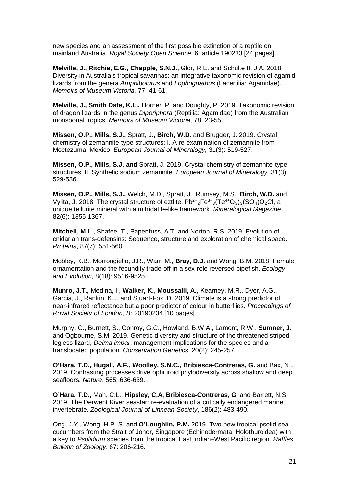new species and an assessment of the first possible extinction of a reptile on mainland Australia. *Royal Society Open Science*, 6: article 190233 [24 pages].

**Melville, J., Ritchie, E.G., Chapple, S.N.J.,** Glor, R.E. and Schulte II, J.A. 2018. Diversity in Australia's tropical savannas: an integrative taxonomic revision of agamid lizards from the genera *Amphibolurus* and *Lophognathus* (Lacertilia: Agamidae). *Memoirs of Museum Victoria,* 77: 41-61.

**Melville, J., Smith Date, K.L.,** Horner, P. and Doughty, P. 2019. Taxonomic revision of dragon lizards in the genus *Diporiphora* (Reptilia: Agamidae) from the Australian monsoonal tropics. *Memoirs of Museum Victoria*, 78: 23-55.

**Missen, O.P., Mills, S.J.,** Spratt, J., **Birch, W.D.** and Brugger, J. 2019. Crystal chemistry of zemannite-type structures: I. A re-examination of zemannite from Moctezuma, Mexico. *European Journal of Mineralogy,* 31(3): 519-527.

**Missen, O.P., Mills, S.J. and** Spratt, J. 2019. Crystal chemistry of zemannite-type structures: II. Synthetic sodium zemannite. *European Journal of Mineralogy,* 31(3): 529-536.

**Missen, O.P., Mills, S.J.,** Welch, M.D., Spratt, J., Rumsey, M.S., **Birch, W.D.** and Vylita, J. 2018. The crystal structure of eztlite,  $Pb^{2+}{}_{2}Fe^{3+}{}_{3} (Te^{4+}O_3){}_{3} (SO_4)O_2Cl$ , a unique tellurite mineral with a mitridatite-like framework. *Mineralogical Magazine*, 82(6): 1355-1367.

**Mitchell, M.L.,** Shafee, T., Papenfuss, A.T. and Norton, R.S. 2019. Evolution of cnidarian trans-defensins: Sequence, structure and exploration of chemical space. *Proteins*, 87(7): 551-560.

Mobley, K.B., Morrongiello, J.R., Warr, M., **Bray, D.J.** and Wong, B.M. 2018. Female ornamentation and the fecundity trade-off in a sex-role reversed pipefish. *Ecology and Evolution,* 8(18): 9516-9525.

**Munro, J.T.,** Medina, I., **Walker, K.**, **Moussalli, A.**, Kearney, M.R., Dyer, A.G., Garcia, J., Rankin, K.J. and Stuart-Fox, D. 2019. Climate is a strong predictor of near-infrared reflectance but a poor predictor of colour in butterflies. *Proceedings of Royal Society of London, B:* 20190234 [10 pages].

Murphy, C., Burnett, S., Conroy, G.C., Howland, B.W.A., Lamont, R.W., **Sumner, J.** and Ogbourne, S.M. 2019. Genetic diversity and structure of the threatened striped legless lizard, *Delma impar*: management implications for the species and a translocated population. *Conservation Genetics*, 20(2): 245-257.

**O'Hara, T.D., Hugall, A.F., Woolley, S.N.C., Bribiesca-Contreras, G.** and Bax, N.J. 2019. Contrasting processes drive ophiuroid phylodiversity across shallow and deep seafloors. *Nature*, 565: 636-639.

**O'Hara, T.D.,** Mah, C.L., **Hipsley, C.A, Bribiesca-Contreras, G**. and Barrett, N.S. 2019. The Derwent River seastar: re-evaluation of a critically endangered marine invertebrate. *Zoological Journal of Linnean Society*, 186(2): 483-490.

Ong, J.Y., Wong, H.P.-S. and **O'Loughlin, P.M.** 2019. Two new tropical psolid sea cucumbers from the Strait of Johor, Singapore (Echinodermata: Holothuroidea) with a key to *Psolidium* species from the tropical East Indian–West Pacific region. *Raffles Bulletin of Zoology*, 67: 206-216.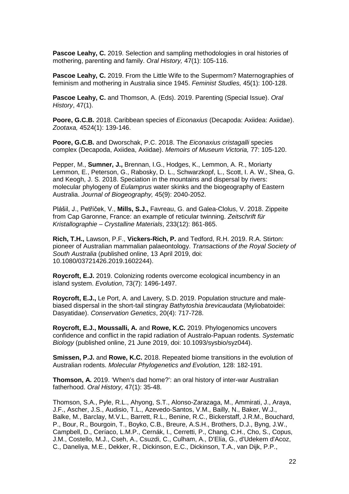**Pascoe Leahy, C.** 2019. Selection and sampling methodologies in oral histories of mothering, parenting and family. *Oral History,* 47(1): 105-116.

**Pascoe Leahy, C.** 2019. From the Little Wife to the Supermom? Maternographies of feminism and mothering in Australia since 1945. *Feminist Studies,* 45(1): 100-128.

**Pascoe Leahy, C.** and Thomson, A. (Eds). 2019. Parenting (Special Issue). *Oral History*, 47(1).

**Poore, G.C.B.** 2018. Caribbean species of *Eiconaxius* (Decapoda: Axiidea: Axiidae). *Zootaxa,* 4524(1): 139-146.

**Poore, G.C.B.** and Dworschak, P.C. 2018. The *Eiconaxius cristagalli* species complex (Decapoda, Axiidea, Axiidae). *Memoirs of Museum Victoria,* 77: 105-120.

Pepper, M., **Sumner, J.,** Brennan, I.G., Hodges, K., Lemmon, A. R., Moriarty Lemmon, E., Peterson, G., Rabosky, D. L., Schwarzkopf, L., Scott, I. A. W., Shea, G. and Keogh, J. S. 2018. Speciation in the mountains and dispersal by rivers: molecular phylogeny of *Eulamprus* water skinks and the biogeography of Eastern Australia. *Journal of Biogeography,* 45(9): 2040-2052.

Plášil, J., Petříček, V., **Mills, S.J.,** Favreau, G. and Galea-Clolus, V. 2018. Zippeite from Cap Garonne, France: an example of reticular twinning. *Zeitschrift für Kristallographie – Crystalline Materials*, 233(12): 861-865.

**Rich, T.H.,** Lawson, P.F., **Vickers-Rich, P.** and Tedford, R.H. 2019. R.A. Stirton: pioneer of Australian mammalian palaeontology. *Transactions of the Royal Society of South Australia* (published online, 13 April 2019, doi: 10.1080/03721426.2019.1602244).

**Roycroft, E.J.** 2019. Colonizing rodents overcome ecological incumbency in an island system. *Evolution*, 73(7): 1496-1497.

**Roycroft, E.J.,** Le Port, A. and Lavery, S.D. 2019. Population structure and malebiased dispersal in the short-tail stingray *Bathytoshia brevicaudata* (Myliobatoidei: Dasyatidae). *Conservation Genetics*, 20(4): 717-728.

**Roycroft, E.J., Moussalli, A.** and **Rowe, K.C.** 2019. Phylogenomics uncovers confidence and conflict in the rapid radiation of Australo-Papuan rodents. *Systematic Biology* (published online, 21 June 2019, doi: 10.1093/sysbio/syz044).

**Smissen, P.J.** and **Rowe, K.C.** 2018. Repeated biome transitions in the evolution of Australian rodents. *Molecular Phylogenetics and Evolution,* 128: 182-191.

**Thomson, A.** 2019. 'When's dad home?': an oral history of inter-war Australian fatherhood. *Oral History,* 47(1): 35-48.

Thomson, S.A., Pyle, R.L., Ahyong, S.T., Alonso-Zarazaga, M., Ammirati, J., Araya, J.F., Ascher, J.S., Audisio, T.L., Azevedo-Santos, V.M., Bailly, N., Baker, W.J., Balke, M., Barclay, M.V.L., Barrett, R.L., Benine, R.C., Bickerstaff, J.R.M., Bouchard, P., Bour, R., Bourgoin, T., Boyko, C.B., Breure, A.S.H., Brothers, D.J., Byng, J.W., Campbell, D., Ceríaco, L.M.P., Cernák, I., Cerretti, P., Chang, C.H., Cho, S., Copus, J.M., Costello, M.J., Cseh, A., Csuzdi, C., Culham, A., D'Elía, G., d'Udekem d'Acoz, C., Daneliya, M.E., Dekker, R., Dickinson, E.C., Dickinson, T.A., van Dijk, P.P.,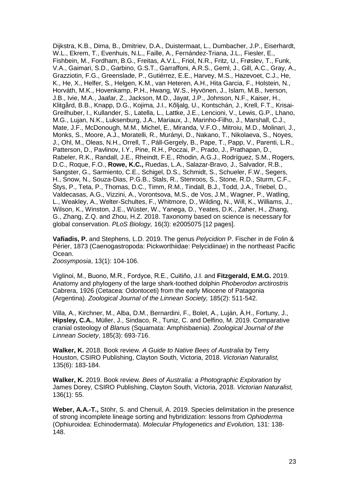Dijkstra, K.B., Dima, B., Dmitriev, D.A., Duistermaat, L., Dumbacher, J.P., Eiserhardt, W.L., Ekrem, T., Evenhuis, N.L., Faille, A., Fernández-Triana, J.L., Fiesler, E., Fishbein, M., Fordham, B.G., Freitas, A.V.L., Friol, N.R., Fritz, U., Frøslev, T., Funk, V.A., Gaimari, S.D., Garbino, G.S.T., Garraffoni, A.R.S., Geml, J., Gill, A.C., Gray, A., Grazziotin, F.G., Greenslade, P., Gutiérrez, E.E., Harvey, M.S., Hazevoet, C.J., He, K., He, X., Helfer, S., Helgen, K.M., van Heteren, A.H., Hita Garcia, F., Holstein, N., Horváth, M.K., Hovenkamp, P.H., Hwang, W.S., Hyvönen, J., Islam, M.B., Iverson, J.B., Ivie, M.A., Jaafar, Z., Jackson, M.D., Jayat, J.P., Johnson, N.F., Kaiser, H., Klitgård, B.B., Knapp, D.G., Kojima, J.I., Kõljalg, U., Kontschán, J., Krell, F.T., Krisai-Greilhuber, I., Kullander, S., Latella, L., Lattke, J.E., Lencioni, V., Lewis, G.P., Lhano, M.G., Lujan, N.K., Luksenburg, J.A., Mariaux, J., Marinho-Filho, J., Marshall, C.J., Mate, J.F., McDonough, M.M., Michel, E., Miranda, V.F.O., Mitroiu, M.D., Molinari, J., Monks, S., Moore, A.J., Moratelli, R., Murányi, D., Nakano, T., Nikolaeva, S., Noyes, J., Ohl, M., Oleas, N.H., Orrell, T., Páll-Gergely, B., Pape, T., Papp, V., Parenti, L.R., Patterson, D., Pavlinov, I.Y., Pine, R.H., Poczai, P., Prado, J., Prathapan, D., Rabeler, R.K., Randall, J.E., Rheindt, F.E., Rhodin, A.G.J., Rodríguez, S.M., Rogers, D.C., Roque, F.O., **Rowe, K.C.,** Ruedas, L.A., Salazar-Bravo, J., Salvador, R.B., Sangster, G., Sarmiento, C.E., Schigel, D.S., Schmidt, S., Schueler, F.W., Segers, H., Snow, N., Souza-Dias, P.G.B., Stals, R., Stenroos, S., Stone, R.D., Sturm, C.F., Štys, P., Teta, P., Thomas, D.C., Timm, R.M., Tindall, B.J., Todd, J.A., Triebel, D., Valdecasas, A.G., Vizzini, A., Vorontsova, M.S., de Vos, J.M., Wagner, P., Watling, L., Weakley, A., Welter-Schultes, F., Whitmore, D., Wilding, N., Will, K., Williams, J., Wilson, K., Winston, J.E., Wüster, W., Yanega, D., Yeates, D.K., Zaher, H., Zhang, G., Zhang, Z.Q. and Zhou, H.Z. 2018. Taxonomy based on science is necessary for global conservation. *PLoS Biology,* 16(3): e2005075 [12 pages].

**Vafiadis, P.** and Stephens, L.D. 2019. The genus *Pelycidion* P. Fischer in de Folin & Périer, 1873 (Caenogastropoda: Pickworthiidae: Pelycidiinae) in the northeast Pacific Ocean.

*Zoosymposia*, 13(1): 104-106.

Viglinoi, M., Buono, M.R., Fordyce, R.E., Cuitiňo, J.I. and **Fitzgerald, E.M.G.** 2019. Anatomy and phylogeny of the large shark-toothed dolphin *Phoberodon arctirostris* Cabrera, 1926 (Cetacea: Odontoceti) from the early Miocene of Patagonia (Argentina). *Zoological Journal of the Linnean Society,* 185(2): 511-542.

Villa, A., Kirchner, M., Alba, D.M., Bernardini, F., Bolet, A., Luján, À.H., Fortuny, J., **Hipsley, C.A.**, Müller, J., Sindaco, R., Tuniz, C. and Delfino, M. 2019. Comparative cranial osteology of *Blanus* (Squamata: Amphisbaenia). *Zoological Journal of the Linnean Society*, 185(3): 693-716.

**Walker, K.** 2018. Book review. *A Guide to Native Bees of Australia* by Terry Houston, CSIRO Publishing, Clayton South, Victoria, 2018. *Victorian Naturalist,* 135(6): 183-184.

**Walker, K.** 2019. Book review. *Bees of Australia: a Photographic Exploration* by James Dorey, CSIRO Publishing, Clayton South, Victoria, 2018. *Victorian Naturalist,* 136(1): 55.

**Weber, A.A.-T.,** Stöhr, S. and Chenuil, A. 2019. Species delimitation in the presence of strong incomplete lineage sorting and hybridization: lessons from *Ophioderma* (Ophiuroidea: Echinodermata). *Molecular Phylogenetics and Evolution,* 131: 138- 148.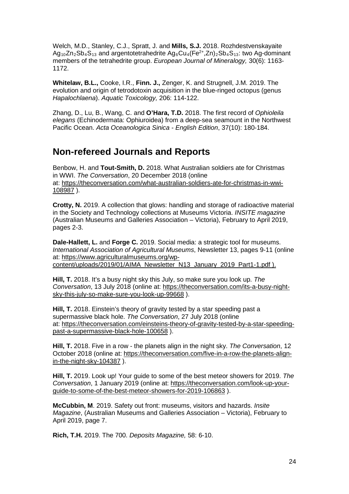Welch, M.D., Stanley, C.J., Spratt, J. and **Mills, S.J.** 2018. Rozhdestvenskayaite  $Aq_{10}Zn_2Sb_4S_{13}$  and argentotetrahedrite  $Aq_6Cu_4(Fe^{2+},Zn)_2Sb_4S_{13}$ : two Ag-dominant members of the tetrahedrite group. *European Journal of Mineralogy,* 30(6): 1163- 1172.

**Whitelaw, B.L.,** Cooke, I.R., **Finn. J.,** Zenger, K. and Strugnell, J.M. 2019. The evolution and origin of tetrodotoxin acquisition in the blue-ringed octopus (genus *Hapalochlaena*). *Aquatic Toxicology,* 206: 114-122.

Zhang, D., Lu, B., Wang, C. and **O'Hara, T.D.** 2018. The first record of *Ophioleila elegans* (Echinodermata: Ophiuroidea) from a deep-sea seamount in the Northwest Pacific Ocean. *Acta Oceanologica Sinica - English Edition*, 37(10): 180-184.

## **Non-refereed Journals and Reports**

Benbow, H. and **Tout-Smith, D.** 2018. What Australian soldiers ate for Christmas in WWI. *The Conversation*, 20 December 2018 (online at: [https://theconversation.com/what-australian-soldiers-ate-for-christmas-in-wwi-](https://theconversation.com/what-australian-soldiers-ate-for-christmas-in-wwi-108987) $108987$ ).

**Crotty, N.** 2019. A collection that glows: handling and storage of radioactive material in the Society and Technology collections at Museums Victoria. *INSITE magazine* (Australian Museums and Galleries Association – Victoria), February to April 2019, pages 2-3.

**Dale-Hallett, L.** and **Forge C.** 2019. Social media: a strategic tool for museums. *International Association of Agricultural Museums*, Newsletter 13, pages 9-11 (online at: [https://www.agriculturalmuseums.org/wp](https://www.agriculturalmuseums.org/wp-content/uploads/2019/01/AIMA_Newsletter_N13_January_2019_Part1-1.pdf)[content/uploads/2019/01/AIMA\\_Newsletter\\_N13\\_January\\_2019\\_Part1-1.pdf](https://www.agriculturalmuseums.org/wp-content/uploads/2019/01/AIMA_Newsletter_N13_January_2019_Part1-1.pdf) ).

**Hill, T.** 2018. It's a busy night sky this July, so make sure you look up. *The Conversation*, 13 July 2018 (online at: [https://theconversation.com/its-a-busy-night](https://theconversation.com/its-a-busy-night-sky-this-july-so-make-sure-you-look-up-99668)[sky-this-july-so-make-sure-you-look-up-99668](https://theconversation.com/its-a-busy-night-sky-this-july-so-make-sure-you-look-up-99668) ).

**Hill, T.** 2018. Einstein's theory of gravity tested by a star speeding past a supermassive black hole. *The Conversation*, 27 July 2018 (online at: [https://theconversation.com/einsteins-theory-of-gravity-tested-by-a-star-speeding](https://theconversation.com/einsteins-theory-of-gravity-tested-by-a-star-speeding-past-a-supermassive-black-hole-100658)[past-a-supermassive-black-hole-100658](https://theconversation.com/einsteins-theory-of-gravity-tested-by-a-star-speeding-past-a-supermassive-black-hole-100658) ).

**Hill, T.** 2018. Five in a row - the planets align in the night sky. *The Conversation*, 12 October 2018 (online at: [https://theconversation.com/five-in-a-row-the-planets-align](https://theconversation.com/five-in-a-row-the-planets-align-in-the-night-sky-104387)[in-the-night-sky-104387](https://theconversation.com/five-in-a-row-the-planets-align-in-the-night-sky-104387) ).

**Hill, T.** 2019. Look up! Your guide to some of the best meteor showers for 2019. *The Conversation*, 1 January 2019 (online at: [https://theconversation.com/look-up-your](https://theconversation.com/look-up-your-guide-to-some-of-the-best-meteor-showers-for-2019-106863)[guide-to-some-of-the-best-meteor-showers-for-2019-106863](https://theconversation.com/look-up-your-guide-to-some-of-the-best-meteor-showers-for-2019-106863) ).

**McCubbin, M**. 2019. Safety out front: museums, visitors and hazards. *Insite Magazine*, (Australian Museums and Galleries Association – Victoria), February to April 2019, page 7.

**Rich, T.H.** 2019. The 700. *Deposits Magazine,* 58: 6-10.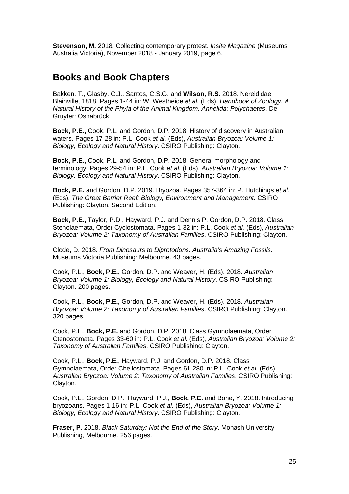**Stevenson, M.** 2018. Collecting contemporary protest. *Insite Magazine* (Museums Australia Victoria), November 2018 - January 2019, page 6.

### **Books and Book Chapters**

Bakken, T., Glasby, C.J., Santos, C.S.G. and **Wilson, R.S**. 2018. Nereididae Blainville, 1818. Pages 1-44 in: W. Westheide *et al.* (Eds), *Handbook of Zoology. A Natural History of the Phyla of the Animal Kingdom. Annelida: Polychaetes*. De Gruyter: Osnabrück.

**Bock, P.E.,** Cook, P.L. and Gordon, D.P. 2018. History of discovery in Australian waters. Pages 17-28 in: P.L. Cook *et al.* (Eds), *Australian Bryozoa: Volume 1: Biology, Ecology and Natural History*. CSIRO Publishing: Clayton.

**Bock, P.E.,** Cook, P.L. and Gordon, D.P. 2018. General morphology and terminology. Pages 29-54 in: P.L. Cook *et al.* (Eds), *Australian Bryozoa: Volume 1: Biology, Ecology and Natural History*. CSIRO Publishing: Clayton.

**Bock, P.E.** and Gordon, D.P. 2019. Bryozoa. Pages 357-364 in: P. Hutchings *et al.* (Eds), *The Great Barrier Reef: Biology, Environment and Management.* CSIRO Publishing: Clayton. Second Edition.

**Bock, P.E.,** Taylor, P.D., Hayward, P.J. and Dennis P. Gordon, D.P. 2018. Class Stenolaemata, Order Cyclostomata. Pages 1-32 in: P.L. Cook *et al.* (Eds), *Australian Bryozoa: Volume 2: Taxonomy of Australian Families*. CSIRO Publishing: Clayton.

Clode, D. 2018. *From Dinosaurs to Diprotodons: Australia's Amazing Fossils.* Museums Victoria Publishing: Melbourne. 43 pages.

Cook, P.L., **Bock, P.E.,** Gordon, D.P. and Weaver, H. (Eds). 2018. *Australian Bryozoa: Volume 1: Biology, Ecology and Natural History*. CSIRO Publishing: Clayton. 200 pages.

Cook, P.L., **Bock, P.E.,** Gordon, D.P. and Weaver, H. (Eds). 2018. *Australian Bryozoa: Volume 2: Taxonomy of Australian Families*. CSIRO Publishing: Clayton. 320 pages.

Cook, P.L., **Bock, P.E.** and Gordon, D.P. 2018. Class Gymnolaemata, Order Ctenostomata. Pages 33-60 in: P.L. Cook *et al.* (Eds), *Australian Bryozoa: Volume 2: Taxonomy of Australian Families*. CSIRO Publishing: Clayton.

Cook, P.L., **Bock, P.E.**, Hayward, P.J. and Gordon, D.P. 2018. Class Gymnolaemata, Order Cheilostomata. Pages 61-280 in: P.L. Cook *et al.* (Eds), *Australian Bryozoa: Volume 2: Taxonomy of Australian Families*. CSIRO Publishing: Clayton.

Cook, P.L., Gordon, D.P., Hayward, P.J., **Bock, P.E.** and Bone, Y. 2018. Introducing bryozoans. Pages 1-16 in: P.L. Cook *et al.* (Eds), *Australian Bryozoa: Volume 1: Biology, Ecology and Natural History*. CSIRO Publishing: Clayton.

**Fraser, P**. 2018. *Black Saturday: Not the End of the Story*. Monash University Publishing, Melbourne. 256 pages.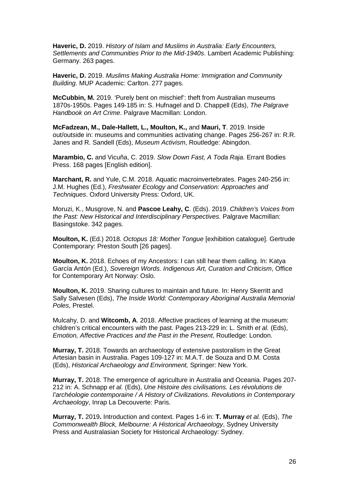**Haveric, D.** 2019. *History of Islam and Muslims in Australia: Early Encounters, Settlements and Communities Prior to the Mid-1940s*. Lambert Academic Publishing: Germany. 263 pages.

**Haveric, D.** 2019. *Muslims Making Australia Home: Immigration and Community Building*. MUP Academic: Carlton. 277 pages.

**McCubbin, M.** 2019. 'Purely bent on mischief': theft from Australian museums 1870s-1950s. Pages 149-185 in: S. Hufnagel and D. Chappell (Eds), *The Palgrave Handbook on Art Crime*. Palgrave Macmillan: London.

**McFadzean, M., Dale-Hallett, L., Moulton, K.,** and **Mauri, T**. 2019. Inside out/outside in: museums and communities activating change. Pages 256-267 in: R.R. Janes and R. Sandell (Eds), *Museum Activism*, Routledge: Abingdon.

**Marambio, C.** and Vicuña, C. 2019. *Slow Down Fast, A Toda Raja*. Errant Bodies Press. 168 pages [English edition].

**Marchant, R.** and Yule, C.M. 2018. Aquatic macroinvertebrates. Pages 240-256 in: J.M. Hughes (Ed.), *Freshwater Ecology and Conservation: Approaches and Techniques*. Oxford University Press: Oxford, UK.

Moruzi, K., Musgrove, N. and **Pascoe Leahy, C**. (Eds). 2019. *Children's Voices from the Past: New Historical and Interdisciplinary Perspectives.* Palgrave Macmillan: Basingstoke. 342 pages.

**Moulton, K.** (Ed.) 2018. *Octopus 18: Mother Tongue* [exhibition catalogue]. Gertrude Contemporary: Preston South [26 pages].

**Moulton, K.** 2018. Echoes of my Ancestors: I can still hear them calling. In: Katya García Antón (Ed.), *Sovereign Words. Indigenous Art, Curation and Criticism*, Office for Contemporary Art Norway: Oslo.

**Moulton, K.** 2019. Sharing cultures to maintain and future. In: Henry Skerritt and Sally Salvesen (Eds), *The Inside World: Contemporary Aboriginal Australia Memorial Poles*, Prestel.

Mulcahy, D. and **Witcomb, A**. 2018. Affective practices of learning at the museum: children's critical encounters with the past. Pages 213-229 in: L. Smith *et al.* (Eds), *Emotion, Affective Practices and the Past in the Present*, Routledge: London.

**Murray, T.** 2018. Towards an archaeology of extensive pastoralism in the Great Artesian basin in Australia. Pages 109-127 in: M.A.T. de Souza and D.M. Costa (Eds), *Historical Archaeology and Environment,* Springer: New York.

**Murray, T.** 2018. The emergence of agriculture in Australia and Oceania. Pages 207- 212 in: A. Schnapp *et al.* (Eds), *Une Histoire des civilisations. Les révolutions de l'archéologie contemporaine / A History of Civilizations. Revolutions in Contemporary Archaeology*, Inrap La Decouverte: Paris.

**Murray, T.** 2019**.** Introduction and context. Pages 1-6 in: **T. Murray** *et al.* (Eds), *The Commonwealth Block, Melbourne: A Historical Archaeology*, Sydney University Press and Australasian Society for Historical Archaeology: Sydney.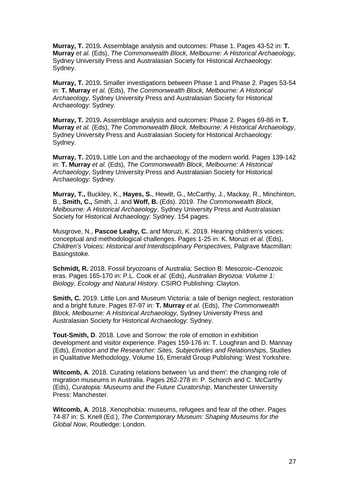**Murray, T.** 2019**.** Assemblage analysis and outcomes: Phase 1. Pages 43-52 in: **T. Murray** *et al.* (Eds), *The Commonwealth Block, Melbourne: A Historical Archaeology*, Sydney University Press and Australasian Society for Historical Archaeology: Sydney.

**Murray, T.** 2019**.** Smaller investigations between Phase 1 and Phase 2. Pages 53-54 in: **T. Murray** *et al.* (Eds), *The Commonwealth Block, Melbourne: A Historical Archaeology*, Sydney University Press and Australasian Society for Historical Archaeology: Sydney.

**Murray, T.** 2019**.** Assemblage analysis and outcomes: Phase 2. Pages 69-86 in **T. Murray** *et al.* (Eds), *The Commonwealth Block, Melbourne: A Historical Archaeology*, Sydney University Press and Australasian Society for Historical Archaeology: Sydney.

**Murray, T.** 2019**.** Little Lon and the archaeology of the modern world. Pages 139-142 in: **T. Murray** *et al.* (Eds), *The Commonwealth Block, Melbourne: A Historical Archaeology*, Sydney University Press and Australasian Society for Historical Archaeology: Sydney.

**Murray, T.,** Buckley, K., **Hayes, S.**, Hewitt, G., McCarthy, J., Mackay, R., Minchinton, B., **Smith, C.,** Smith, J. and **Woff, B.** (Eds). 2019. *The Commonwealth Block, Melbourne: A Historical Archaeology*. Sydney University Press and Australasian Society for Historical Archaeology: Sydney. 154 pages.

Musgrove, N., **Pascoe Leahy, C.** and Moruzi, K. 2019. Hearing children's voices: conceptual and methodological challenges. Pages 1-25 in: K. Moruzi *et al.* (Eds), *Children's Voices: Historical and Interdisciplinary Perspectives, Palgrave Macmillan:* Basingstoke.

**Schmidt, R.** 2018. Fossil bryozoans of Australia: Section B: Mesozoic–Cenozoic eras. Pages 165-170 in: P.L. Cook *et al.* (Eds), *Australian Bryozoa: Volume 1: Biology, Ecology and Natural History*. CSIRO Publishing: Clayton.

**Smith, C.** 2019. Little Lon and Museum Victoria: a tale of benign neglect, restoration and a bright future. Pages 87-97 in: **T. Murray** *et al.* (Eds), *The Commonwealth Block, Melbourne: A Historical Archaeology*, Sydney University Press and Australasian Society for Historical Archaeology: Sydney.

**Tout-Smith, D**. 2018. Love and Sorrow: the role of emotion in exhibition development and visitor experience. Pages 159-176 in: T. Loughran and D. Mannay (Eds), *Emotion and the Researcher: Sites, Subjectivities and Relationship*s, Studies in Qualitative Methodology, Volume 16, Emerald Group Publishing: West Yorkshire.

**Witcomb, A**. 2018. Curating relations between 'us and them': the changing role of migration museums in Australia. Pages 262-278 in: P. Schorch and C. McCarthy (Eds), *Curatopia: Museums and the Future Curatorship*, Manchester University Press: Manchester.

**Witcomb, A**. 2018. Xenophobia: museums, refugees and fear of the other. Pages 74-87 in: S. Knell (Ed.), *The Contemporary Museum: Shaping Museums for the Global Now*, Routledge: London.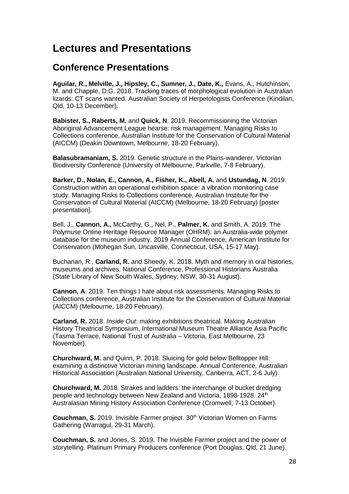## <span id="page-27-0"></span>**Lectures and Presentations**

## **Conference Presentations**

**Aguilar, R., Melville, J., Hipsley, C., Sumner, J., Date, K.,** Evans, A., Hutchinson, M. and Chapple, D.G. 2018. Tracking traces of morphological evolution in Australian lizards: CT scans wanted. Australian Society of Herpetologists Conference (Kindilan, Qld, 10-13 December).

**Babister, S., Raberts, M.** and **Quick, N**. 2019. Recommissioning the Victorian Aboriginal Advancement League hearse: risk management. Managing Risks to Collections conference, Australian Institute for the Conservation of Cultural Material (AICCM) (Deakin Downtown, Melbourne, 18-20 February).

**Balasubramaniam, S.** 2019. Genetic structure in the Plains-wanderer. Victorian Biodiversity Conference (University of Melbourne, Parkville, 7-8 February).

**Barker, D., Nolan, E., Cannon, A., Fisher, K., Abell, A.** and **Ustundag, N**. 2019. Construction within an operational exhibition space: a vibration monitoring case study. Managing Risks to Collections conference, Australian Institute for the Conservation of Cultural Material (AICCM) (Melbourne, 18-20 February) [poster presentation].

Bell, J., **Cannon, A.,** McCarthy, G., Nel, P., **Palmer, K.** and Smith, A. 2019. The Polymuse Online Heritage Resource Manager (OHRM): an Australia-wide polymer database for the museum industry. 2019 Annual Conference, American Institute for Conservation (Mohegan Sun, Uncasville, Connecticut, USA, 15-17 May).

Buchanan, R., **Carland, R.** and Sheedy, K. 2018. Myth and memory in oral histories, museums and archives. National Conference, Professional Historians Australia (State Library of New South Wales, Sydney, NSW, 30-31 August).

**Cannon, A**. 2019. Ten things I hate about risk assessments. Managing Risks to Collections conference, Australian Institute for the Conservation of Cultural Material (AICCM) (Melbourne, 18-20 February).

**Carland, R.** 2018. *Inside Out*: making exhibitions theatrical. Making Australian History Theatrical Symposium, International Museum Theatre Alliance Asia Pacific (Tasma Terrace, National Trust of Australia – Victoria, East Melbourne, 23 November).

**Churchward, M.** and Quinn, P. 2018. Sluicing for gold below Belltopper Hill: examining a distinctive Victorian mining landscape. Annual Conference, Australian Historical Association (Australian National University, Canberra, ACT, 2-6 July).

**Churchward, M.** 2018. Strakes and ladders: the interchange of bucket dredging people and technology between New Zealand and Victoria, 1898-1928. 24<sup>th</sup> Australasian Mining History Association Conference (Cromwell, 7-13 October).

**Couchman, S.** 2019. Invisible Farmer project. 30<sup>th</sup> Victorian Women on Farms Gathering (Warragul, 29-31 March).

**Couchman, S.** and Jones, S. 2019. The Invisible Farmer project and the power of storytelling. Platinum Primary Producers conference (Port Douglas, Qld, 21 June).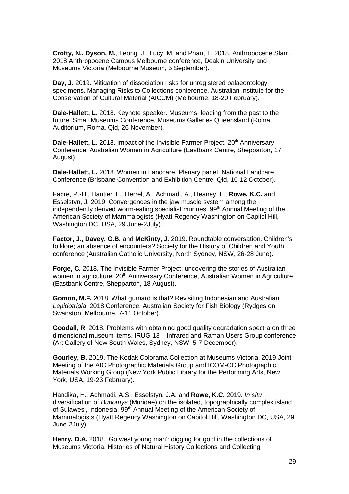**Crotty, N., Dyson, M.**, Leong, J., Lucy, M. and Phan, T. 2018. Anthropocene Slam. 2018 Anthropocene Campus Melbourne conference, Deakin University and Museums Victoria (Melbourne Museum, 5 September).

**Day, J.** 2019. Mitigation of dissociation risks for unregistered palaeontology specimens. Managing Risks to Collections conference, Australian Institute for the Conservation of Cultural Material (AICCM) (Melbourne, 18-20 February).

**Dale-Hallett, L.** 2018. Keynote speaker. Museums: leading from the past to the future. Small Museums Conference, Museums Galleries Queensland (Roma Auditorium, Roma, Qld, 26 November).

**Dale-Hallett, L.** 2018. Impact of the Invisible Farmer Project. 20<sup>th</sup> Anniversary Conference, Australian Women in Agriculture (Eastbank Centre, Shepparton, 17 August).

**Dale-Hallett, L.** 2018. Women in Landcare. Plenary panel. National Landcare Conference (Brisbane Convention and Exhibition Centre, Qld, 10-12 October).

Fabre, P.-H., Hautier, L., Herrel, A., Achmadi, A., Heaney, L., **Rowe, K.C.** and Esselstyn, J. 2019. Convergences in the jaw muscle system among the independently derived worm-eating specialist murines. 99<sup>th</sup> Annual Meeting of the American Society of Mammalogists (Hyatt Regency Washington on Capitol Hill, Washington DC, USA, 29 June-2July).

**Factor, J., Davey, G.B.** and **McKinty, J.** 2019. Roundtable conversation. Children's folklore; an absence of encounters? Society for the History of Children and Youth conference (Australian Catholic University, North Sydney, NSW, 26-28 June).

**Forge, C.** 2018. The Invisible Farmer Project: uncovering the stories of Australian women in agriculture. 20<sup>th</sup> Anniversary Conference, Australian Women in Agriculture (Eastbank Centre, Shepparton, 18 August).

**Gomon, M.F.** 2018. What gurnard is that? Revisiting Indonesian and Australian *Lepidotrigla*. 2018 Conference, Australian Society for Fish Biology (Rydges on Swanston, Melbourne, 7-11 October).

**Goodall, R**. 2018. Problems with obtaining good quality degradation spectra on three dimensional museum items. IRUG 13 – Infrared and Raman Users Group conference (Art Gallery of New South Wales, Sydney, NSW, 5-7 December).

**Gourley, B**. 2019. The Kodak Colorama Collection at Museums Victoria. 2019 Joint Meeting of the AIC Photographic Materials Group and ICOM-CC Photographic Materials Working Group (New York Public Library for the Performing Arts, New York, USA, 19-23 February).

Handika, H., Achmadi, A.S., Esselstyn, J.A. and **Rowe, K.C.** 2019. *In situ* diversification of *Bunomys* (Muridae) on the isolated, topographically complex island of Sulawesi, Indonesia. 99<sup>th</sup> Annual Meeting of the American Society of Mammalogists (Hyatt Regency Washington on Capitol Hill, Washington DC, USA, 29 June-2July).

**Henry, D.A.** 2018. 'Go west young man': digging for gold in the collections of Museums Victoria. Histories of Natural History Collections and Collecting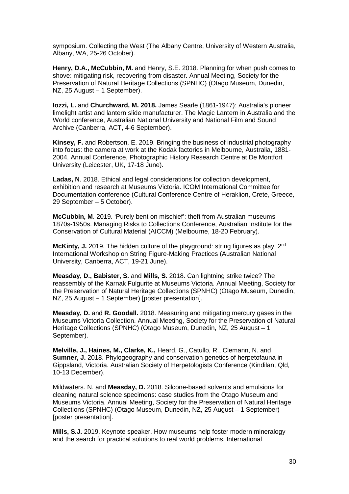symposium. Collecting the West (The Albany Centre, University of Western Australia, Albany, WA, 25-26 October).

**Henry, D.A., McCubbin, M.** and Henry, S.E. 2018. Planning for when push comes to shove: mitigating risk, recovering from disaster. Annual Meeting, Society for the Preservation of Natural Heritage Collections (SPNHC) (Otago Museum, Dunedin, NZ, 25 August – 1 September).

**Iozzi, L.** and **Churchward, M. 2018.** James Searle (1861-1947): Australia's pioneer limelight artist and lantern slide manufacturer. The Magic Lantern in Australia and the World conference, Australian National University and National Film and Sound Archive (Canberra, ACT, 4-6 September).

**Kinsey, F.** and Robertson, E. 2019. Bringing the business of industrial photography into focus: the camera at work at the Kodak factories in Melbourne, Australia, 1881- 2004. Annual Conference, Photographic History Research Centre at De Montfort University (Leicester, UK, 17-18 June).

**Ladas, N**. 2018. Ethical and legal considerations for collection development, exhibition and research at Museums Victoria. ICOM International Committee for Documentation conference (Cultural Conference Centre of Heraklion, Crete, Greece, 29 September – 5 October).

**McCubbin, M**. 2019. 'Purely bent on mischief': theft from Australian museums 1870s-1950s. Managing Risks to Collections Conference, Australian Institute for the Conservation of Cultural Material (AICCM) (Melbourne, 18-20 February).

**McKinty, J.** 2019. The hidden culture of the playground: string figures as play. 2<sup>nd</sup> International Workshop on String Figure-Making Practices (Australian National University, Canberra, ACT, 19-21 June).

**Measday, D., Babister, S.** and **Mills, S.** 2018. Can lightning strike twice? The reassembly of the Karnak Fulgurite at Museums Victoria. Annual Meeting, Society for the Preservation of Natural Heritage Collections (SPNHC) (Otago Museum, Dunedin, NZ, 25 August – 1 September) [poster presentation].

**Measday, D.** and **R. Goodall.** 2018. Measuring and mitigating mercury gases in the Museums Victoria Collection. Annual Meeting, Society for the Preservation of Natural Heritage Collections (SPNHC) (Otago Museum, Dunedin, NZ, 25 August – 1 September).

**Melville, J., Haines, M., Clarke, K.,** Heard, G., Catullo, R., Clemann, N. and **Sumner, J.** 2018. Phylogeography and conservation genetics of herpetofauna in Gippsland, Victoria. Australian Society of Herpetologists Conference (Kindilan, Qld, 10-13 December).

Mildwaters. N. and **Measday, D.** 2018. Silcone-based solvents and emulsions for cleaning natural science specimens: case studies from the Otago Museum and Museums Victoria. Annual Meeting, Society for the Preservation of Natural Heritage Collections (SPNHC) (Otago Museum, Dunedin, NZ, 25 August – 1 September) [poster presentation].

**Mills, S.J.** 2019. Keynote speaker. How museums help foster modern mineralogy and the search for practical solutions to real world problems. International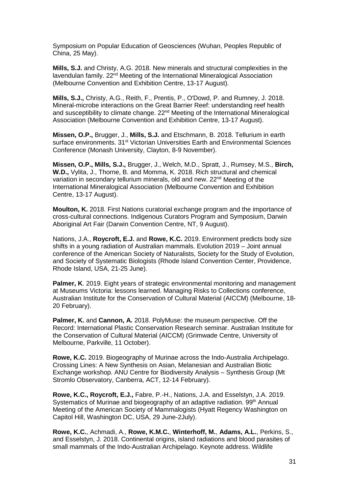Symposium on Popular Education of Geosciences (Wuhan, Peoples Republic of China, 25 May).

**Mills, S.J.** and Christy, A.G. 2018. New minerals and structural complexities in the lavendulan family. 22nd Meeting of the International Mineralogical Association (Melbourne Convention and Exhibition Centre, 13-17 August).

**Mills, S.J.,** Christy, A.G., Reith, F., Prentis, P., O'Dowd, P. and Rumney, J. 2018. Mineral-microbe interactions on the Great Barrier Reef: understanding reef health and susceptibility to climate change. 22<sup>nd</sup> Meeting of the International Mineralogical Association (Melbourne Convention and Exhibition Centre, 13-17 August).

**Missen, O.P.,** Brugger, J., **Mills, S.J.** and Etschmann, B. 2018. Tellurium in earth surface environments. 31<sup>st</sup> Victorian Universities Earth and Environmental Sciences Conference (Monash University, Clayton, 8-9 November).

**Missen, O.P., Mills, S.J.,** Brugger, J., Welch, M.D., Spratt, J., Rumsey, M.S., **Birch, W.D.,** Vylita, J., Thorne, B. and Momma, K. 2018. Rich structural and chemical variation in secondary tellurium minerals, old and new. 22<sup>nd</sup> Meeting of the International Mineralogical Association (Melbourne Convention and Exhibition Centre, 13-17 August).

**Moulton, K.** 2018. First Nations curatorial exchange program and the importance of cross-cultural connections. Indigenous Curators Program and Symposium, Darwin Aboriginal Art Fair (Darwin Convention Centre, NT, 9 August).

Nations, J.A., **Roycroft, E.J.** and **Rowe, K.C.** 2019. Environment predicts body size shifts in a young radiation of Australian mammals. Evolution 2019 – Joint annual conference of the American Society of Naturalists, Society for the Study of Evolution, and Society of Systematic Biologists (Rhode Island Convention Center, Providence, Rhode Island, USA, 21-25 June).

**Palmer, K.** 2019. Eight years of strategic environmental monitoring and management at Museums Victoria: lessons learned. Managing Risks to Collections conference, Australian Institute for the Conservation of Cultural Material (AICCM) (Melbourne, 18- 20 February).

**Palmer, K.** and **Cannon, A.** 2018. PolyMuse: the museum perspective. Off the Record: International Plastic Conservation Research seminar. Australian Institute for the Conservation of Cultural Material (AICCM) (Grimwade Centre, University of Melbourne, Parkville, 11 October).

**Rowe, K.C.** 2019. Biogeography of Murinae across the Indo-Australia Archipelago. Crossing Lines: A New Synthesis on Asian, Melanesian and Australian Biotic Exchange workshop. ANU Centre for Biodiversity Analysis – Synthesis Group (Mt Stromlo Observatory, Canberra, ACT, 12-14 February).

**Rowe, K.C., Roycroft, E.J.,** Fabre, P.-H., Nations, J.A. and Esselstyn, J.A. 2019. Systematics of Murinae and biogeography of an adaptive radiation. 99<sup>th</sup> Annual Meeting of the American Society of Mammalogists (Hyatt Regency Washington on Capitol Hill, Washington DC, USA, 29 June-2July).

**Rowe, K.C.**, Achmadi, A., **Rowe, K.M.C.**, **Winterhoff, M.**, **Adams, A.L.**, Perkins, S., and Esselstyn, J. 2018. Continental origins, island radiations and blood parasites of small mammals of the Indo-Australian Archipelago. Keynote address. Wildlife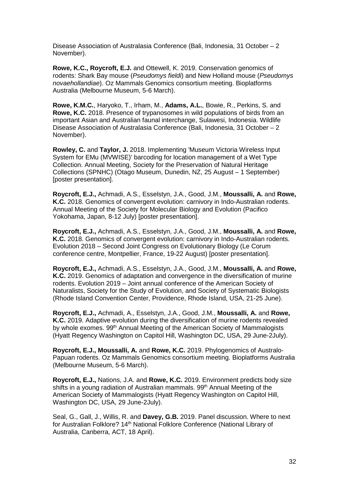Disease Association of Australasia Conference (Bali, Indonesia, 31 October – 2 November).

**Rowe, K.C., Roycroft, E.J.** and Ottewell, K. 2019. Conservation genomics of rodents: Shark Bay mouse (*Pseudomys fieldi*) and New Holland mouse (*Pseudomys novaehollandiae*). Oz Mammals Genomics consortium meeting. Bioplatforms Australia (Melbourne Museum, 5-6 March).

**Rowe, K.M.C.**, Haryoko, T., Irham, M., **Adams, A.L.**, Bowie, R., Perkins, S. and **Rowe, K.C.** 2018. Presence of trypanosomes in wild populations of birds from an important Asian and Australian faunal interchange, Sulawesi, Indonesia. Wildlife Disease Association of Australasia Conference (Bali, Indonesia, 31 October – 2 November).

**Rowley, C.** and **Taylor, J.** 2018. Implementing 'Museum Victoria Wireless Input System for EMu (MVWISE)' barcoding for location management of a Wet Type Collection. Annual Meeting, Society for the Preservation of Natural Heritage Collections (SPNHC) (Otago Museum, Dunedin, NZ, 25 August – 1 September) [poster presentation].

**Roycroft, E.J.,** Achmadi, A.S., Esselstyn, J.A., Good, J.M., **Moussalli, A.** and **Rowe, K.C.** 2018. Genomics of convergent evolution: carnivory in Indo-Australian rodents. Annual Meeting of the Society for Molecular Biology and Evolution (Pacifico Yokohama, Japan, 8-12 July) [poster presentation].

**Roycroft, E.J.,** Achmadi, A.S., Esselstyn, J.A., Good, J.M., **Moussalli, A.** and **Rowe, K.C.** 2018. Genomics of convergent evolution: carnivory in Indo-Australian rodents. Evolution 2018 – Second Joint Congress on Evolutionary Biology (Le Corum conference centre, Montpellier, France, 19-22 August) [poster presentation].

**Roycroft, E.J.,** Achmadi, A.S., Esselstyn, J.A., Good, J.M., **Moussalli, A.** and **Rowe, K.C.** 2019. Genomics of adaptation and convergence in the diversification of murine rodents. Evolution 2019 – Joint annual conference of the American Society of Naturalists, Society for the Study of Evolution, and Society of Systematic Biologists (Rhode Island Convention Center, Providence, Rhode Island, USA, 21-25 June).

**Roycroft, E.J.,** Achmadi, A., Esselstyn, J.A., Good, J.M., **Moussalli, A.** and **Rowe, K.C.** 2019. Adaptive evolution during the diversification of murine rodents revealed by whole exomes. 99<sup>th</sup> Annual Meeting of the American Society of Mammalogists (Hyatt Regency Washington on Capitol Hill, Washington DC, USA, 29 June-2July).

**Roycroft, E.J., Moussalli, A.** and **Rowe, K.C.** 2019. Phylogenomics of Australo-Papuan rodents. Oz Mammals Genomics consortium meeting. Bioplatforms Australia (Melbourne Museum, 5-6 March).

**Roycroft, E.J.,** Nations, J.A. and **Rowe, K.C.** 2019. Environment predicts body size shifts in a young radiation of Australian mammals. 99<sup>th</sup> Annual Meeting of the American Society of Mammalogists (Hyatt Regency Washington on Capitol Hill, Washington DC, USA, 29 June-2July).

Seal, G., Gall, J., Willis, R. and **Davey, G.B.** 2019. Panel discussion. Where to next for Australian Folklore? 14<sup>th</sup> National Folklore Conference (National Library of Australia, Canberra, ACT, 18 April).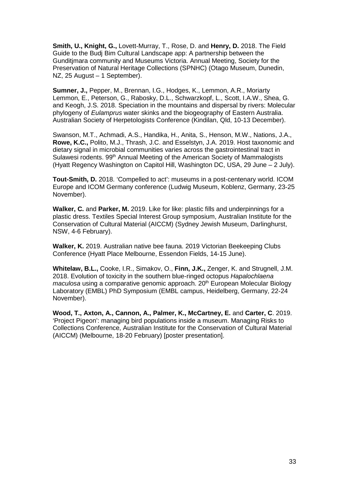**Smith, U., Knight, G.,** Lovett-Murray, T., Rose, D. and **Henry, D.** 2018. The Field Guide to the Budj Bim Cultural Landscape app: A partnership between the Gunditjmara community and Museums Victoria. Annual Meeting, Society for the Preservation of Natural Heritage Collections (SPNHC) (Otago Museum, Dunedin, NZ, 25 August – 1 September).

**Sumner, J.,** Pepper, M., Brennan, I.G., Hodges, K., Lemmon, A.R., Moriarty Lemmon, E., Peterson, G., Rabosky, D.L., Schwarzkopf, L., Scott, I.A.W., Shea, G. and Keogh, J.S. 2018. Speciation in the mountains and dispersal by rivers: Molecular phylogeny of *Eulamprus* water skinks and the biogeography of Eastern Australia. Australian Society of Herpetologists Conference (Kindilan, Qld, 10-13 December).

Swanson, M.T., Achmadi, A.S., Handika, H., Anita, S., Henson, M.W., Nations, J.A., **Rowe, K.C.,** Polito, M.J., Thrash, J.C. and Esselstyn, J.A. 2019. Host taxonomic and dietary signal in microbial communities varies across the gastrointestinal tract in Sulawesi rodents. 99<sup>th</sup> Annual Meeting of the American Society of Mammalogists (Hyatt Regency Washington on Capitol Hill, Washington DC, USA, 29 June – 2 July).

**Tout-Smith, D.** 2018. 'Compelled to act': museums in a post-centenary world. ICOM Europe and ICOM Germany conference (Ludwig Museum, Koblenz, Germany, 23-25 November).

**Walker, C.** and **Parker, M.** 2019. Like for like: plastic fills and underpinnings for a plastic dress. Textiles Special Interest Group symposium, Australian Institute for the Conservation of Cultural Material (AICCM) (Sydney Jewish Museum, Darlinghurst, NSW, 4-6 February).

**Walker, K.** 2019. Australian native bee fauna. 2019 Victorian Beekeeping Clubs Conference (Hyatt Place Melbourne, Essendon Fields, 14-15 June).

**Whitelaw, B.L.,** Cooke, I.R., Simakov, O., **Finn, J.K.,** Zenger, K. and Strugnell, J.M. 2018. Evolution of toxicity in the southern blue-ringed octopus *Hapalochlaena maculosa* using a comparative genomic approach. 20<sup>th</sup> European Molecular Biology Laboratory (EMBL) PhD Symposium (EMBL campus, Heidelberg, Germany, 22-24 November).

**Wood, T., Axton, A., Cannon, A., Palmer, K., McCartney, E.** and **Carter, C**. 2019. 'Project Pigeon': managing bird populations inside a museum. Managing Risks to Collections Conference, Australian Institute for the Conservation of Cultural Material (AICCM) (Melbourne, 18-20 February) [poster presentation].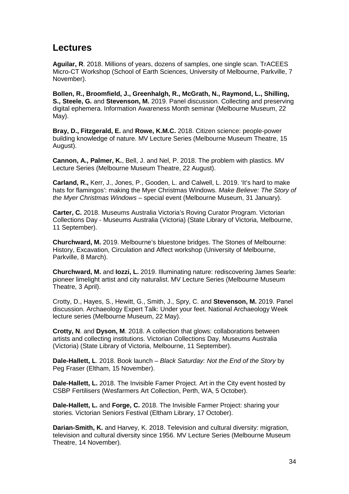### **Lectures**

**Aguilar, R**. 2018. Millions of years, dozens of samples, one single scan. TrACEES Micro-CT Workshop (School of Earth Sciences, University of Melbourne, Parkville, 7 November).

**Bollen, R., Broomfield, J., Greenhalgh, R., McGrath, N., Raymond, L., Shilling, S., Steele, G.** and **Stevenson, M.** 2019. Panel discussion. Collecting and preserving digital ephemera. Information Awareness Month seminar (Melbourne Museum, 22 May).

**Bray, D., Fitzgerald, E.** and **Rowe, K.M.C.** 2018. Citizen science: people-power building knowledge of nature. MV Lecture Series (Melbourne Museum Theatre, 15 August).

**Cannon, A., Palmer, K.**, Bell, J. and Nel, P. 2018. The problem with plastics. MV Lecture Series (Melbourne Museum Theatre, 22 August).

**Carland, R.,** Kerr, J., Jones, P., Gooden, L. and Calwell, L. 2019. 'It's hard to make hats for flamingos': making the Myer Christmas Windows. *Make Believe: The Story of the Myer Christmas Windows* – special event (Melbourne Museum, 31 January).

**Carter, C.** 2018. Museums Australia Victoria's Roving Curator Program. Victorian Collections Day - Museums Australia (Victoria) (State Library of Victoria, Melbourne, 11 September).

**Churchward, M.** 2019. Melbourne's bluestone bridges. The Stones of Melbourne: History, Excavation, Circulation and Affect workshop (University of Melbourne, Parkville, 8 March).

**Churchward, M.** and **Iozzi, L.** 2019. Illuminating nature: rediscovering James Searle: pioneer limelight artist and city naturalist. MV Lecture Series (Melbourne Museum Theatre, 3 April).

Crotty, D., Hayes, S., Hewitt, G., Smith, J., Spry, C. and **Stevenson, M.** 2019. Panel discussion. Archaeology Expert Talk: Under your feet. National Archaeology Week lecture series (Melbourne Museum, 22 May).

**Crotty, N**. and **Dyson, M**. 2018. A collection that glows: collaborations between artists and collecting institutions. Victorian Collections Day, Museums Australia (Victoria) (State Library of Victoria, Melbourne, 11 September).

**Dale-Hallett, L**. 2018. Book launch – *Black Saturday: Not the End of the Story* by Peg Fraser (Eltham, 15 November).

**Dale-Hallett, L.** 2018. The Invisible Famer Project. Art in the City event hosted by CSBP Fertilisers (Wesfarmers Art Collection, Perth, WA, 5 October).

**Dale-Hallett, L.** and **Forge, C.** 2018. The Invisible Farmer Project: sharing your stories. Victorian Seniors Festival (Eltham Library, 17 October).

**Darian-Smith, K.** and Harvey, K. 2018. Television and cultural diversity: migration, television and cultural diversity since 1956. MV Lecture Series (Melbourne Museum Theatre, 14 November).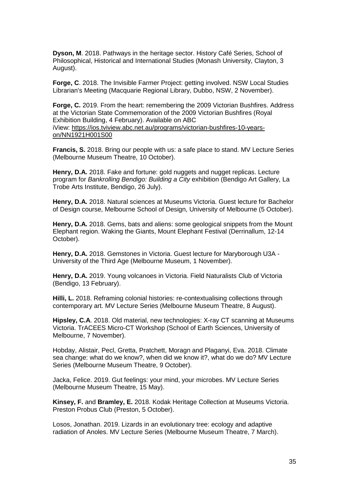**Dyson, M**. 2018. Pathways in the heritage sector. History Café Series, School of Philosophical, Historical and International Studies (Monash University, Clayton, 3 August).

**Forge, C**. 2018. The Invisible Farmer Project: getting involved. NSW Local Studies Librarian's Meeting (Macquarie Regional Library, Dubbo, NSW, 2 November).

**Forge, C.** 2019. From the heart: remembering the 2009 Victorian Bushfires. Address at the Victorian State Commemoration of the 2009 Victorian Bushfires (Royal Exhibition Building, 4 February). Available on ABC iView: [https://ios.tviview.abc.net.au/programs/victorian-bushfires-10-years](https://ios.tviview.abc.net.au/programs/victorian-bushfires-10-years-on/NN1921H001S00)[on/NN1921H001S00](https://ios.tviview.abc.net.au/programs/victorian-bushfires-10-years-on/NN1921H001S00)

**Francis, S.** 2018. Bring our people with us: a safe place to stand. MV Lecture Series (Melbourne Museum Theatre, 10 October).

**Henry, D.A.** 2018. Fake and fortune: gold nuggets and nugget replicas. Lecture program for *Bankrolling Bendigo: Building a City* exhibition (Bendigo Art Gallery, La Trobe Arts Institute, Bendigo, 26 July).

**Henry, D.A.** 2018. Natural sciences at Museums Victoria. Guest lecture for Bachelor of Design course, Melbourne School of Design, University of Melbourne (5 October).

**Henry, D.A.** 2018. Gems, bats and aliens: some geological snippets from the Mount Elephant region. Waking the Giants, Mount Elephant Festival (Derrinallum, 12-14 October).

**Henry, D.A.** 2018. Gemstones in Victoria. Guest lecture for Maryborough U3A - University of the Third Age (Melbourne Museum, 1 November).

**Henry, D.A.** 2019. Young volcanoes in Victoria. Field Naturalists Club of Victoria (Bendigo, 13 February).

**Hilli, L.** 2018. Reframing colonial histories: re-contextualising collections through contemporary art. MV Lecture Series (Melbourne Museum Theatre, 8 August).

**Hipsley, C.A**. 2018. Old material, new technologies: X-ray CT scanning at Museums Victoria. TrACEES Micro-CT Workshop (School of Earth Sciences, University of Melbourne, 7 November).

Hobday, Alistair, Pecl, Gretta, Pratchett, Moragn and Plaganyi, Eva. 2018. Climate sea change: what do we know?, when did we know it?, what do we do? MV Lecture Series (Melbourne Museum Theatre, 9 October).

Jacka, Felice. 2019. Gut feelings: your mind, your microbes. MV Lecture Series (Melbourne Museum Theatre, 15 May).

**Kinsey, F.** and **Bramley, E.** 2018. Kodak Heritage Collection at Museums Victoria. Preston Probus Club (Preston, 5 October).

Losos, Jonathan. 2019. Lizards in an evolutionary tree: ecology and adaptive radiation of Anoles. MV Lecture Series (Melbourne Museum Theatre, 7 March).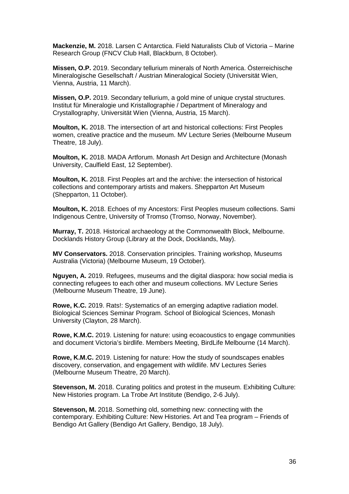**Mackenzie, M.** 2018. Larsen C Antarctica. Field Naturalists Club of Victoria – Marine Research Group (FNCV Club Hall, Blackburn, 8 October).

**Missen, O.P.** 2019. Secondary tellurium minerals of North America. Österreichische Mineralogische Gesellschaft / Austrian Mineralogical Society (Universität Wien, Vienna, Austria, 11 March).

**Missen, O.P.** 2019. Secondary tellurium, a gold mine of unique crystal structures. Institut für Mineralogie und Kristallographie / Department of Mineralogy and Crystallography, Universität Wien (Vienna, Austria, 15 March).

**Moulton, K.** 2018. The intersection of art and historical collections: First Peoples women, creative practice and the museum. MV Lecture Series (Melbourne Museum Theatre, 18 July).

**Moulton, K.** 2018. MADA Artforum. Monash Art Design and Architecture (Monash University, Caulfield East, 12 September).

**Moulton, K.** 2018. First Peoples art and the archive: the intersection of historical collections and contemporary artists and makers. Shepparton Art Museum (Shepparton, 11 October).

**Moulton, K.** 2018. Echoes of my Ancestors: First Peoples museum collections. Sami Indigenous Centre, University of Tromso (Tromso, Norway, November).

**Murray, T.** 2018. Historical archaeology at the Commonwealth Block, Melbourne. Docklands History Group (Library at the Dock, Docklands, May).

**MV Conservators.** 2018. Conservation principles. Training workshop, Museums Australia (Victoria) (Melbourne Museum, 19 October).

**Nguyen, A.** 2019. Refugees, museums and the digital diaspora: how social media is connecting refugees to each other and museum collections. MV Lecture Series (Melbourne Museum Theatre, 19 June).

**Rowe, K.C.** 2019. Rats!: Systematics of an emerging adaptive radiation model. Biological Sciences Seminar Program. School of Biological Sciences, Monash University (Clayton, 28 March).

**Rowe, K.M.C.** 2019. Listening for nature: using ecoacoustics to engage communities and document Victoria's birdlife. Members Meeting, BirdLife Melbourne (14 March).

**Rowe, K.M.C.** 2019. Listening for nature: How the study of soundscapes enables discovery, conservation, and engagement with wildlife. MV Lectures Series (Melbourne Museum Theatre, 20 March).

**Stevenson, M.** 2018. Curating politics and protest in the museum. Exhibiting Culture: New Histories program. La Trobe Art Institute (Bendigo, 2-6 July).

**Stevenson, M.** 2018. Something old, something new: connecting with the contemporary. Exhibiting Culture: New Histories. Art and Tea program – Friends of Bendigo Art Gallery (Bendigo Art Gallery, Bendigo, 18 July).